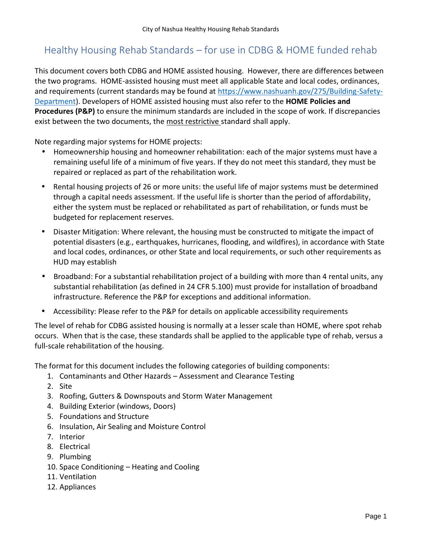# Healthy Housing Rehab Standards – for use in CDBG & HOME funded rehab

This document covers both CDBG and HOME assisted housing. However, there are differences between the two programs. HOME-assisted housing must meet all applicable State and local codes, ordinances, and requirements (current standards may be found at https://www.nashuanh.gov/275/Building-Safety- Department). Developers of HOME assisted housing must also refer to the **HOME Policies and Procedures (P&P)** to ensure the minimum standards are included in the scope of work. If discrepancies exist between the two documents, the most restrictive standard shall apply.

Note regarding major systems for HOME projects:

- Homeownership housing and homeowner rehabilitation: each of the major systems must have a remaining useful life of a minimum of five years. If they do not meet this standard, they must be repaired or replaced as part of the rehabilitation work.
- Rental housing projects of 26 or more units: the useful life of major systems must be determined through a capital needs assessment. If the useful life is shorter than the period of affordability, either the system must be replaced or rehabilitated as part of rehabilitation, or funds must be budgeted for replacement reserves.
- Disaster Mitigation: Where relevant, the housing must be constructed to mitigate the impact of potential disasters (e.g., earthquakes, hurricanes, flooding, and wildfires), in accordance with State and local codes, ordinances, or other State and local requirements, or such other requirements as HUD may establish
- Broadband: For a substantial rehabilitation project of a building with more than 4 rental units, any substantial rehabilitation (as defined in 24 CFR 5.100) must provide for installation of broadband infrastructure. Reference the P&P for exceptions and additional information.
- Accessibility: Please refer to the P&P for details on applicable accessibility requirements

The level of rehab for CDBG assisted housing is normally at a lesser scale than HOME, where spot rehab occurs. When that is the case, these standards shall be applied to the applicable type of rehab, versus a full-scale rehabilitation of the housing.

The format for this document includes the following categories of building components:

- 1. Contaminants and Other Hazards Assessment and Clearance Testing
- 2. Site
- 3. Roofing, Gutters & Downspouts and Storm Water Management
- 4. Building Exterior (windows, Doors)
- 5. Foundations and Structure
- 6. Insulation, Air Sealing and Moisture Control
- 7. Interior
- 8. Electrical
- 9. Plumbing
- 10. Space Conditioning Heating and Cooling
- 11. Ventilation
- 12. Appliances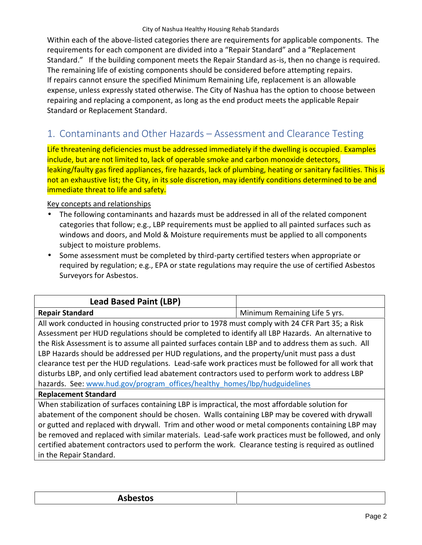Within each of the above-listed categories there are requirements for applicable components. The requirements for each component are divided into a "Repair Standard" and a "Replacement Standard." If the building component meets the Repair Standard as-is, then no change is required. The remaining life of existing components should be considered before attempting repairs. If repairs cannot ensure the specified Minimum Remaining Life, replacement is an allowable expense, unless expressly stated otherwise. The City of Nashua has the option to choose between repairing and replacing a component, as long as the end product meets the applicable Repair Standard or Replacement Standard.

# **1. Contaminants and Other Hazards – Assessment and Clearance Testing**

Life threatening deficiencies must be addressed immediately if the dwelling is occupied. Examples include, but are not limited to, lack of operable smoke and carbon monoxide detectors, leaking/faulty gas fired appliances, fire hazards, lack of plumbing, heating or sanitary facilities. This is not an exhaustive list; the City, in its sole discretion, may identify conditions determined to be and immediate threat to life and safety.

- The following contaminants and hazards must be addressed in all of the related component categories that follow; e.g., LBP requirements must be applied to all painted surfaces such as windows and doors, and Mold & Moisture requirements must be applied to all components subject to moisture problems.
- Some assessment must be completed by third-party certified testers when appropriate or required by regulation; e.g., EPA or state regulations may require the use of certified Asbestos Surveyors for Asbestos.

| <b>Lead Based Paint (LBP)</b>                                                                       |                               |
|-----------------------------------------------------------------------------------------------------|-------------------------------|
| <b>Repair Standard</b>                                                                              | Minimum Remaining Life 5 yrs. |
| All work conducted in housing constructed prior to 1978 must comply with 24 CFR Part 35; a Risk     |                               |
| Assessment per HUD regulations should be completed to identify all LBP Hazards. An alternative to   |                               |
| the Risk Assessment is to assume all painted surfaces contain LBP and to address them as such. All  |                               |
| LBP Hazards should be addressed per HUD regulations, and the property/unit must pass a dust         |                               |
| clearance test per the HUD regulations. Lead-safe work practices must be followed for all work that |                               |
| disturbs LBP, and only certified lead abatement contractors used to perform work to address LBP     |                               |
| hazards. See: www.hud.gov/program_offices/healthy_homes/lbp/hudguidelines                           |                               |
| <b>Replacement Standard</b>                                                                         |                               |
| When stabilization of surfaces containing LBP is impractical, the most affordable solution for      |                               |
| abatement of the component should be chosen. Walls containing LBP may be covered with drywall       |                               |
| or gutted and replaced with drywall. Trim and other wood or metal components containing LBP may     |                               |
| be removed and replaced with similar materials. Lead-safe work practices must be followed, and only |                               |
| certified abatement contractors used to perform the work. Clearance testing is required as outlined |                               |
| in the Repair Standard.                                                                             |                               |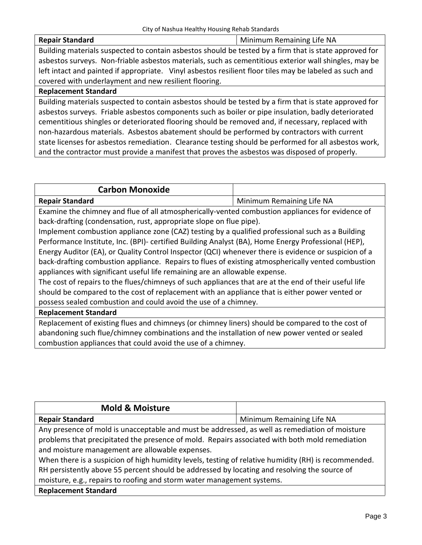#### **Repair Standard** Minimum Remaining Life NA

Building materials suspected to contain asbestos should be tested by a firm that is state approved for asbestos surveys. Non-friable asbestos materials, such as cementitious exterior wall shingles, may be left intact and painted if appropriate. Vinyl asbestos resilient floor tiles may be labeled as such and covered with underlayment and new resilient flooring.

#### **Replacement Standard**

Building materials suspected to contain asbestos should be tested by a firm that is state approved for asbestos surveys. Friable asbestos components such as boiler or pipe insulation, badly deteriorated cementitious shingles or deteriorated flooring should be removed and, if necessary, replaced with non-hazardous materials. Asbestos abatement should be performed by contractors with current state licenses for asbestos remediation. Clearance testing should be performed for all asbestos work, and the contractor must provide a manifest that proves the asbestos was disposed of properly.

| <b>Carbon Monoxide</b> |                           |
|------------------------|---------------------------|
| <b>Repair Standard</b> | Minimum Remaining Life NA |

Examine the chimney and flue of all atmospherically-vented combustion appliances for evidence of back-drafting (condensation, rust, appropriate slope on flue pipe).

Implement combustion appliance zone (CAZ) testing by a qualified professional such as a Building Performance Institute, Inc. (BPI)- certified Building Analyst (BA), Home Energy Professional (HEP), Energy Auditor (EA), or Quality Control Inspector (QCI) whenever there is evidence or suspicion of a back-drafting combustion appliance. Repairs to flues of existing atmospherically vented combustion appliances with significant useful life remaining are an allowable expense.

The cost of repairs to the flues/chimneys of such appliances that are at the end of their useful life should be compared to the cost of replacement with an appliance that is either power vented or possess sealed combustion and could avoid the use of a chimney.

#### **Replacement Standard**

Replacement of existing flues and chimneys (or chimney liners) should be compared to the cost of abandoning such flue/chimney combinations and the installation of new power vented or sealed combustion appliances that could avoid the use of a chimney.

| <b>Mold &amp; Moisture</b>                                                                           |                           |
|------------------------------------------------------------------------------------------------------|---------------------------|
| <b>Repair Standard</b>                                                                               | Minimum Remaining Life NA |
| Any presence of mold is unacceptable and must be addressed, as well as remediation of moisture       |                           |
| problems that precipitated the presence of mold. Repairs associated with both mold remediation       |                           |
| and moisture management are allowable expenses.                                                      |                           |
| When there is a suspicion of high humidity levels, testing of relative humidity (RH) is recommended. |                           |
| RH persistently above 55 percent should be addressed by locating and resolving the source of         |                           |
| moisture, e.g., repairs to roofing and storm water management systems.                               |                           |
| <b>Replacement Standard</b>                                                                          |                           |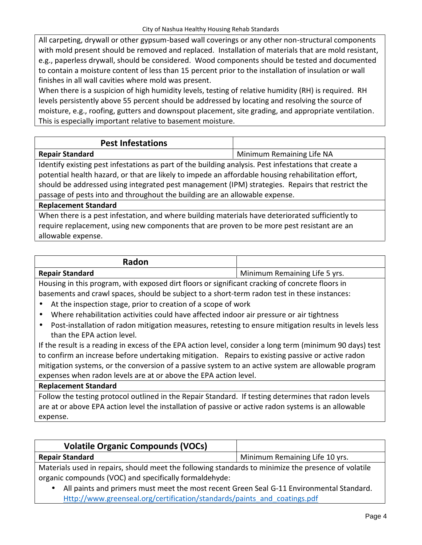All carpeting, drywall or other gypsum-based wall coverings or any other non-structural components with mold present should be removed and replaced. Installation of materials that are mold resistant, e.g., paperless drywall, should be considered. Wood components should be tested and documented to contain a moisture content of less than 15 percent prior to the installation of insulation or wall finishes in all wall cavities where mold was present.

When there is a suspicion of high humidity levels, testing of relative humidity (RH) is required. RH levels persistently above 55 percent should be addressed by locating and resolving the source of moisture, e.g., roofing, gutters and downspout placement, site grading, and appropriate ventilation. This is especially important relative to basement moisture.

| <b>Pest Infestations</b>                                                                                                                                                                                                                                                                                                                                                                       |                           |
|------------------------------------------------------------------------------------------------------------------------------------------------------------------------------------------------------------------------------------------------------------------------------------------------------------------------------------------------------------------------------------------------|---------------------------|
| <b>Repair Standard</b>                                                                                                                                                                                                                                                                                                                                                                         | Minimum Remaining Life NA |
| Identify existing pest infestations as part of the building analysis. Pest infestations that create a<br>potential health hazard, or that are likely to impede an affordable housing rehabilitation effort,<br>should be addressed using integrated pest management (IPM) strategies. Repairs that restrict the<br>passage of pests into and throughout the building are an allowable expense. |                           |
| <b>Replacement Standard</b>                                                                                                                                                                                                                                                                                                                                                                    |                           |
| When there is a nest infectation, and where huilding materials have deteriorated sufficiently to                                                                                                                                                                                                                                                                                               |                           |

When there is a pest infestation, and where building materials have deteriorated sufficiently to require replacement, using new components that are proven to be more pest resistant are an allowable expense.

| <b>Radon</b>           |                               |
|------------------------|-------------------------------|
| <b>Repair Standard</b> | Minimum Remaining Life 5 yrs. |

Housing in this program, with exposed dirt floors or significant cracking of concrete floors in basements and crawl spaces, should be subject to a short-term radon test in these instances:

- At the inspection stage, prior to creation of a scope of work
- Where rehabilitation activities could have affected indoor air pressure or air tightness
- Post-installation of radon mitigation measures, retesting to ensure mitigation results in levels less than the EPA action level.

If the result is a reading in excess of the EPA action level, consider a long term (minimum 90 days) test to confirm an increase before undertaking mitigation. Repairs to existing passive or active radon mitigation systems, or the conversion of a passive system to an active system are allowable program expenses when radon levels are at or above the EPA action level.

# **Replacement Standard**

Follow the testing protocol outlined in the Repair Standard. If testing determines that radon levels are at or above EPA action level the installation of passive or active radon systems is an allowable expense.

| <b>Volatile Organic Compounds (VOCs)</b>                                                            |                                |
|-----------------------------------------------------------------------------------------------------|--------------------------------|
| <b>Repair Standard</b>                                                                              | Minimum Remaining Life 10 yrs. |
| Materials used in renairs, should meet the following standards to minimize the presence of volatile |                                |

 $\,$  used in repairs, should meet the following standards to minimize th organic compounds (VOC) and specifically formaldehyde:

 All paints and primers must meet the most recent Green Seal G-11 Environmental Standard. Http://www.greenseal.org/certification/standards/paints\_and\_coatings.pdf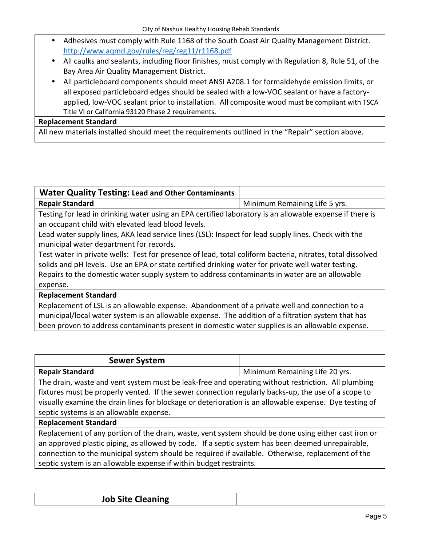- Adhesives must comply with Rule 1168 of the South Coast Air Quality Management District. http://www.aqmd.gov/rules/reg/reg11/r1168.pdf
- All caulks and sealants, including floor finishes, must comply with Regulation 8, Rule 51, of the Bay Area Air Quality Management District.
- All particleboard components should meet ANSI A208.1 for formaldehyde emission limits, or all exposed particleboard edges should be sealed with a low-VOC sealant or have a factory applied, low-VOC sealant prior to installation. All composite wood must be compliant with TSCA Title VI or California 93120 Phase 2 requirements.

#### **Replacement Standard**

All new materials installed should meet the requirements outlined in the "Repair" section above.

| <b>Water Quality Testing: Lead and Other Contaminants</b>                                                  |                               |
|------------------------------------------------------------------------------------------------------------|-------------------------------|
| <b>Repair Standard</b>                                                                                     | Minimum Remaining Life 5 yrs. |
| Testing for lead in drinking water using an EPA certified laboratory is an allowable expense if there is   |                               |
| an occupant child with elevated lead blood levels.                                                         |                               |
| Lead water supply lines, AKA lead service lines (LSL): Inspect for lead supply lines. Check with the       |                               |
| municipal water department for records.                                                                    |                               |
| Test water in private wells: Test for presence of lead, total coliform bacteria, nitrates, total dissolved |                               |
| solids and pH levels. Use an EPA or state certified drinking water for private well water testing.         |                               |
| Repairs to the domestic water supply system to address contaminants in water are an allowable              |                               |
| expense.                                                                                                   |                               |
| <b>Replacement Standard</b>                                                                                |                               |

Replacement of LSL is an allowable expense. Abandonment of a private well and connection to a municipal/local water system is an allowable expense. The addition of a filtration system that has been proven to address contaminants present in domestic water supplies is an allowable expense.

| <b>Sewer System</b>                                                                                                                                                                                   |                                |
|-------------------------------------------------------------------------------------------------------------------------------------------------------------------------------------------------------|--------------------------------|
| <b>Repair Standard</b>                                                                                                                                                                                | Minimum Remaining Life 20 yrs. |
| The drain, waste and vent system must be leak-free and operating without restriction. All plumbing                                                                                                    |                                |
| fixtures must be properly vented. If the sewer connection regularly backs-up, the use of a scope to                                                                                                   |                                |
| visually examine the drain lines for blockage or deterioration is an allowable expense. Dye testing of                                                                                                |                                |
| septic systems is an allowable expense.                                                                                                                                                               |                                |
| <b>Replacement Standard</b>                                                                                                                                                                           |                                |
| Replacement of any portion of the drain, waste, vent system should be done using either cast iron or                                                                                                  |                                |
| an approved plastic piping, as allowed by code. If a septic system has been deemed unrepairable,<br>connection to the municipal system should be required if available. Otherwise, replacement of the |                                |
|                                                                                                                                                                                                       |                                |

septic system is an allowable expense if within budget restraints.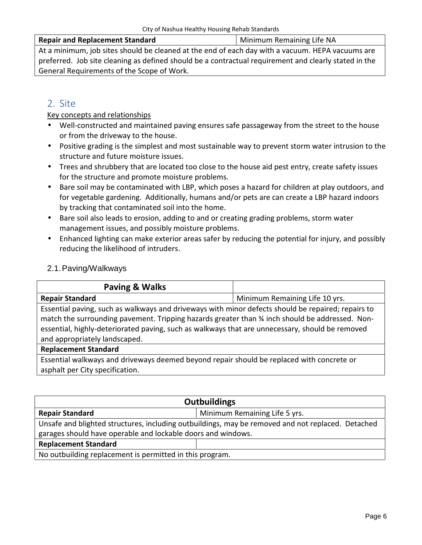#### **Repair and Replacement Standard** Minimum Remaining Life NA

At a minimum, job sites should be cleaned at the end of each day with a vacuum. HEPA vacuums are preferred. Job site cleaning as defined should be a contractual requirement and clearly stated in the General Requirements of the Scope of Work.

# **2. Site**

Key concepts and relationships

- Well-constructed and maintained paving ensures safe passageway from the street to the house or from the driveway to the house.
- Positive grading is the simplest and most sustainable way to prevent storm water intrusion to the structure and future moisture issues.
- Trees and shrubbery that are located too close to the house aid pest entry, create safety issues for the structure and promote moisture problems.
- Bare soil may be contaminated with LBP, which poses a hazard for children at play outdoors, and for vegetable gardening. Additionally, humans and/or pets are can create a LBP hazard indoors by tracking that contaminated soil into the home.
- Bare soil also leads to erosion, adding to and or creating grading problems, storm water management issues, and possibly moisture problems.
- Enhanced lighting can make exterior areas safer by reducing the potential for injury, and possibly reducing the likelihood of intruders.

# 2.1.Paving/Walkways

| Paving & Walks                                                                                     |                                |
|----------------------------------------------------------------------------------------------------|--------------------------------|
| <b>Repair Standard</b>                                                                             | Minimum Remaining Life 10 yrs. |
| Essential paving, such as walkways and driveways with minor defects should be repaired; repairs to |                                |
| match the surrounding pavement. Tripping hazards greater than % inch should be addressed. Non-     |                                |
| essential, highly-deteriorated paving, such as walkways that are unnecessary, should be removed    |                                |
| and appropriately landscaped.                                                                      |                                |
| <b>Replacement Standard</b>                                                                        |                                |
| Essential walkways and driveways deemed beyond repair should be replaced with concrete or          |                                |
| asphalt per City specification.                                                                    |                                |

| <b>Outbuildings</b>                                                                               |  |
|---------------------------------------------------------------------------------------------------|--|
| Minimum Remaining Life 5 yrs.<br><b>Repair Standard</b>                                           |  |
| Unsafe and blighted structures, including outbuildings, may be removed and not replaced. Detached |  |
| garages should have operable and lockable doors and windows.                                      |  |
| <b>Replacement Standard</b>                                                                       |  |
| No outbuilding replacement is permitted in this program.                                          |  |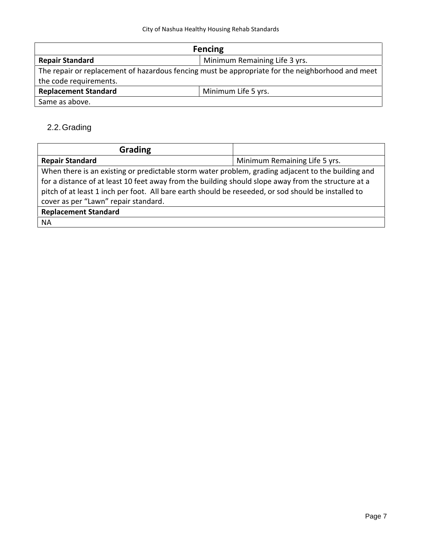| <b>Fencing</b>                                          |                                                                                                  |
|---------------------------------------------------------|--------------------------------------------------------------------------------------------------|
| Minimum Remaining Life 3 yrs.<br><b>Repair Standard</b> |                                                                                                  |
|                                                         | The repair or replacement of hazardous fencing must be appropriate for the neighborhood and meet |
| the code requirements.                                  |                                                                                                  |
| <b>Replacement Standard</b><br>Minimum Life 5 yrs.      |                                                                                                  |
| Same as above.                                          |                                                                                                  |

# 2.2.Grading

| <b>Grading</b>                                                                                      |                               |  |
|-----------------------------------------------------------------------------------------------------|-------------------------------|--|
| <b>Repair Standard</b>                                                                              | Minimum Remaining Life 5 yrs. |  |
| When there is an existing or predictable storm water problem, grading adjacent to the building and  |                               |  |
| for a distance of at least 10 feet away from the building should slope away from the structure at a |                               |  |
| pitch of at least 1 inch per foot. All bare earth should be reseeded, or sod should be installed to |                               |  |
| cover as per "Lawn" repair standard.                                                                |                               |  |
| <b>Replacement Standard</b>                                                                         |                               |  |
| <b>NA</b>                                                                                           |                               |  |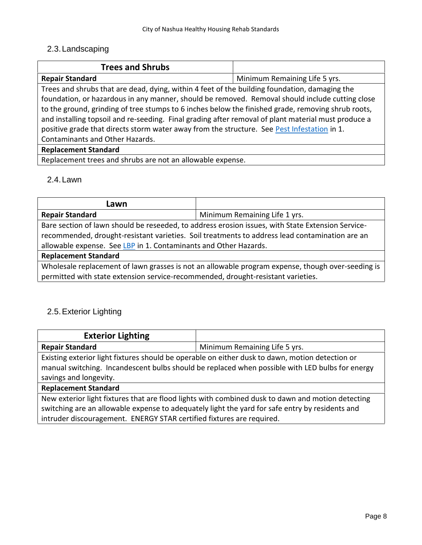# 2.3.Landscaping

| <b>Trees and Shrubs</b>                                                                             |                               |
|-----------------------------------------------------------------------------------------------------|-------------------------------|
| <b>Repair Standard</b>                                                                              | Minimum Remaining Life 5 yrs. |
| Trees and shrubs that are dead, dying, within 4 feet of the building foundation, damaging the       |                               |
| foundation, or hazardous in any manner, should be removed. Removal should include cutting close     |                               |
| to the ground, grinding of tree stumps to 6 inches below the finished grade, removing shrub roots,  |                               |
| and installing topsoil and re-seeding. Final grading after removal of plant material must produce a |                               |
| positive grade that directs storm water away from the structure. See Pest Infestation in 1.         |                               |
| Contaminants and Other Hazards.                                                                     |                               |
| <b>Replacement Standard</b>                                                                         |                               |
| Replacement trees and shrubs are not an allowable expense.                                          |                               |

# 2.4.Lawn

| Lawn                                                                                                                                                                                  |                                                                                                |  |
|---------------------------------------------------------------------------------------------------------------------------------------------------------------------------------------|------------------------------------------------------------------------------------------------|--|
| <b>Repair Standard</b>                                                                                                                                                                | Minimum Remaining Life 1 yrs.                                                                  |  |
| Bare section of lawn should be reseeded, to address erosion issues, with State Extension Service-                                                                                     |                                                                                                |  |
|                                                                                                                                                                                       | recommended, drought-resistant varieties. Soil treatments to address lead contamination are an |  |
| allowable expense. See LBP in 1. Contaminants and Other Hazards.                                                                                                                      |                                                                                                |  |
| <b>Replacement Standard</b>                                                                                                                                                           |                                                                                                |  |
| Wholesale replacement of lawn grasses is not an allowable program expense, though over-seeding is<br>permitted with state extension service-recommended, drought-resistant varieties. |                                                                                                |  |

# 2.5.Exterior Lighting

| <b>Exterior Lighting</b>                                                                                                                                                                                                     |                                                                                                                                                                                                      |
|------------------------------------------------------------------------------------------------------------------------------------------------------------------------------------------------------------------------------|------------------------------------------------------------------------------------------------------------------------------------------------------------------------------------------------------|
| <b>Repair Standard</b>                                                                                                                                                                                                       | Minimum Remaining Life 5 yrs.                                                                                                                                                                        |
| Existing exterior light fixtures should be operable on either dusk to dawn, motion detection or<br>manual switching. Incandescent bulbs should be replaced when possible with LED bulbs for energy<br>savings and longevity. |                                                                                                                                                                                                      |
| <b>Replacement Standard</b>                                                                                                                                                                                                  |                                                                                                                                                                                                      |
|                                                                                                                                                                                                                              | New exterior light fixtures that are flood lights with combined dusk to dawn and motion detecting<br>switching are an allowable expense to adequately light the yard for safe entry by residents and |

intruder discouragement. ENERGY STAR certified fixtures are required.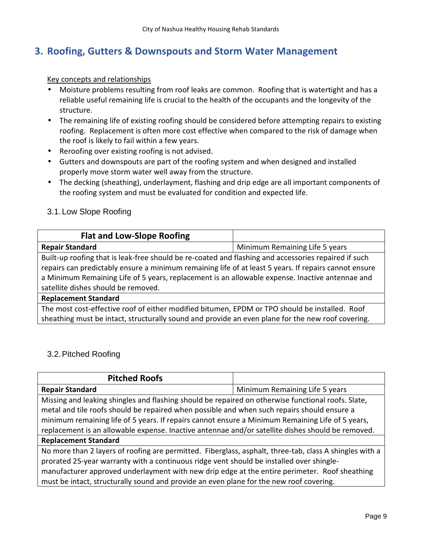# **3. Roofing, Gutters & Downspouts and Storm Water Management**

Key concepts and relationships

- Moisture problems resulting from roof leaks are common. Roofing that is watertight and has a reliable useful remaining life is crucial to the health of the occupants and the longevity of the structure.
- The remaining life of existing roofing should be considered before attempting repairs to existing roofing. Replacement is often more cost effective when compared to the risk of damage when the roof is likely to fail within a few years.
- Reroofing over existing roofing is not advised.
- Gutters and downspouts are part of the roofing system and when designed and installed properly move storm water well away from the structure.
- The decking (sheathing), underlayment, flashing and drip edge are all important components of the roofing system and must be evaluated for condition and expected life.

# 3.1.Low Slope Roofing

| <b>Flat and Low-Slope Roofing</b>                                                                     |                                |
|-------------------------------------------------------------------------------------------------------|--------------------------------|
| <b>Repair Standard</b>                                                                                | Minimum Remaining Life 5 years |
| Built-up roofing that is leak-free should be re-coated and flashing and accessories repaired if such  |                                |
| repairs can predictably ensure a minimum remaining life of at least 5 years. If repairs cannot ensure |                                |
| a Minimum Remaining Life of 5 years, replacement is an allowable expense. Inactive antennae and       |                                |
| satellite dishes should be removed.                                                                   |                                |
| <b>Replacement Standard</b>                                                                           |                                |
| The most cost-effective roof of either modified bitumen, EPDM or TPO should be installed. Roof        |                                |
| sheathing must be intact, structurally sound and provide an even plane for the new roof covering.     |                                |

# 3.2.Pitched Roofing

| <b>Pitched Roofs</b>                                                                                                                                                                     |                                |
|------------------------------------------------------------------------------------------------------------------------------------------------------------------------------------------|--------------------------------|
| <b>Repair Standard</b>                                                                                                                                                                   | Minimum Remaining Life 5 years |
| Missing and leaking shingles and flashing should be repaired on otherwise functional roofs. Slate,                                                                                       |                                |
| metal and tile roofs should be repaired when possible and when such repairs should ensure a                                                                                              |                                |
| minimum remaining life of 5 years. If repairs cannot ensure a Minimum Remaining Life of 5 years,                                                                                         |                                |
| replacement is an allowable expense. Inactive antennae and/or satellite dishes should be removed.                                                                                        |                                |
| <b>Replacement Standard</b>                                                                                                                                                              |                                |
| No more than 2 layers of roofing are permitted. Fiberglass, asphalt, three-tab, class A shingles with a                                                                                  |                                |
| prorated 25-year warranty with a continuous ridge vent should be installed over shingle-                                                                                                 |                                |
| manufacturer approved underlayment with new drip edge at the entire perimeter. Roof sheathing<br>must be intact, structurally sound and provide an even plane for the new roof covering. |                                |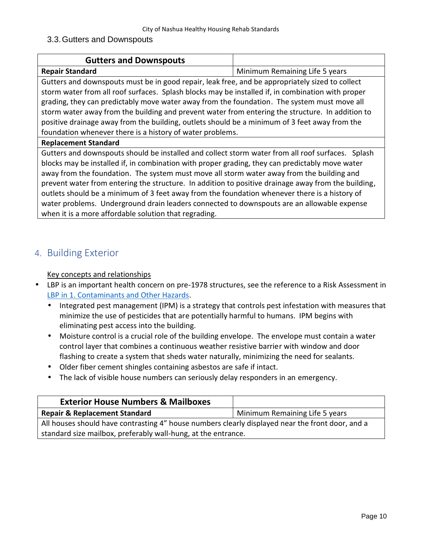### 3.3.Gutters and Downspouts

| Minimum Remaining Life 5 years                                                                                                                                                                                                                                                                                                                                                                                                                                                                                                                                                                          |  |
|---------------------------------------------------------------------------------------------------------------------------------------------------------------------------------------------------------------------------------------------------------------------------------------------------------------------------------------------------------------------------------------------------------------------------------------------------------------------------------------------------------------------------------------------------------------------------------------------------------|--|
| Gutters and downspouts must be in good repair, leak free, and be appropriately sized to collect                                                                                                                                                                                                                                                                                                                                                                                                                                                                                                         |  |
| storm water from all roof surfaces. Splash blocks may be installed if, in combination with proper                                                                                                                                                                                                                                                                                                                                                                                                                                                                                                       |  |
| grading, they can predictably move water away from the foundation. The system must move all                                                                                                                                                                                                                                                                                                                                                                                                                                                                                                             |  |
| storm water away from the building and prevent water from entering the structure. In addition to                                                                                                                                                                                                                                                                                                                                                                                                                                                                                                        |  |
| positive drainage away from the building, outlets should be a minimum of 3 feet away from the                                                                                                                                                                                                                                                                                                                                                                                                                                                                                                           |  |
| foundation whenever there is a history of water problems.                                                                                                                                                                                                                                                                                                                                                                                                                                                                                                                                               |  |
|                                                                                                                                                                                                                                                                                                                                                                                                                                                                                                                                                                                                         |  |
| Gutters and downspouts should be installed and collect storm water from all roof surfaces. Splash<br>blocks may be installed if, in combination with proper grading, they can predictably move water<br>away from the foundation. The system must move all storm water away from the building and<br>prevent water from entering the structure. In addition to positive drainage away from the building,<br>outlets should be a minimum of 3 feet away from the foundation whenever there is a history of<br>water problems. Underground drain leaders connected to downspouts are an allowable expense |  |
|                                                                                                                                                                                                                                                                                                                                                                                                                                                                                                                                                                                                         |  |

# **4. Building Exterior**

- LBP is an important health concern on pre-1978 structures, see the reference to a Risk Assessment in LBP in 1. Contaminants and Other Hazards.
	- Integrated pest management (IPM) is a strategy that controls pest infestation with measures that minimize the use of pesticides that are potentially harmful to humans. IPM begins with eliminating pest access into the building.
	- Moisture control is a crucial role of the building envelope. The envelope must contain a water control layer that combines a continuous weather resistive barrier with window and door flashing to create a system that sheds water naturally, minimizing the need for sealants.
	- Older fiber cement shingles containing asbestos are safe if intact.
	- The lack of visible house numbers can seriously delay responders in an emergency.

| <b>Exterior House Numbers &amp; Mailboxes</b>                                                    |                                |
|--------------------------------------------------------------------------------------------------|--------------------------------|
| <b>Repair &amp; Replacement Standard</b>                                                         | Minimum Remaining Life 5 years |
| All houses should have contrasting 4" house numbers clearly displayed near the front door, and a |                                |
| standard size mailbox, preferably wall-hung, at the entrance.                                    |                                |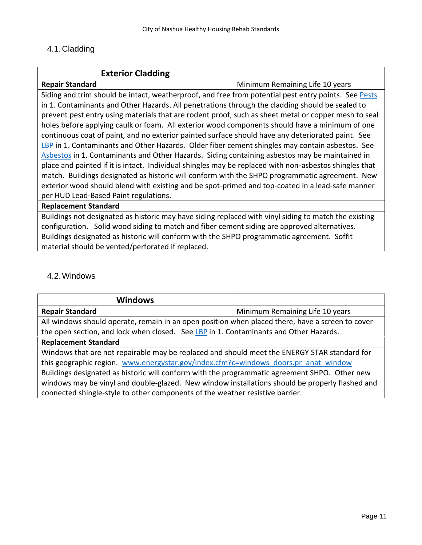# 4.1.Cladding

| <b>Exterior Cladding</b>                                                                               |                                 |
|--------------------------------------------------------------------------------------------------------|---------------------------------|
| <b>Repair Standard</b>                                                                                 | Minimum Remaining Life 10 years |
| Siding and trim should be intact, weatherproof, and free from potential pest entry points. See Pests   |                                 |
| in 1. Contaminants and Other Hazards. All penetrations through the cladding should be sealed to        |                                 |
| prevent pest entry using materials that are rodent proof, such as sheet metal or copper mesh to seal   |                                 |
| holes before applying caulk or foam. All exterior wood components should have a minimum of one         |                                 |
| continuous coat of paint, and no exterior painted surface should have any deteriorated paint. See      |                                 |
| LBP in 1. Contaminants and Other Hazards. Older fiber cement shingles may contain asbestos. See        |                                 |
| Asbestos in 1. Contaminants and Other Hazards. Siding containing asbestos may be maintained in         |                                 |
| place and painted if it is intact. Individual shingles may be replaced with non-asbestos shingles that |                                 |
| match. Buildings designated as historic will conform with the SHPO programmatic agreement. New         |                                 |
| exterior wood should blend with existing and be spot-primed and top-coated in a lead-safe manner       |                                 |
| per HUD Lead-Based Paint regulations.                                                                  |                                 |
| <b>Replacement Standard</b>                                                                            |                                 |
| Buildings not designated as historic may have siding replaced with vinyl siding to match the existing  |                                 |

configuration. Solid wood siding to match and fiber cement siding are approved alternatives. Buildings designated as historic will conform with the SHPO programmatic agreement. Soffit material should be vented/perforated if replaced.

# 4.2.Windows

| <b>Windows</b>                                                                                   |                                 |
|--------------------------------------------------------------------------------------------------|---------------------------------|
| <b>Repair Standard</b>                                                                           | Minimum Remaining Life 10 years |
| All windows should operate, remain in an open position when placed there, have a screen to cover |                                 |
| the open section, and lock when closed. See LBP in 1. Contaminants and Other Hazards.            |                                 |
| <b>Replacement Standard</b>                                                                      |                                 |
| Windows that are not repairable may be replaced and should meet the ENERGY STAR standard for     |                                 |
| this geographic region. www.energystar.gov/index.cfm?c=windows_doors.pr_anat_window              |                                 |
| Buildings designated as historic will conform with the programmatic agreement SHPO. Other new    |                                 |
| windows may be vinyl and double-glazed. New window installations should be properly flashed and  |                                 |
| connected shingle-style to other components of the weather resistive barrier.                    |                                 |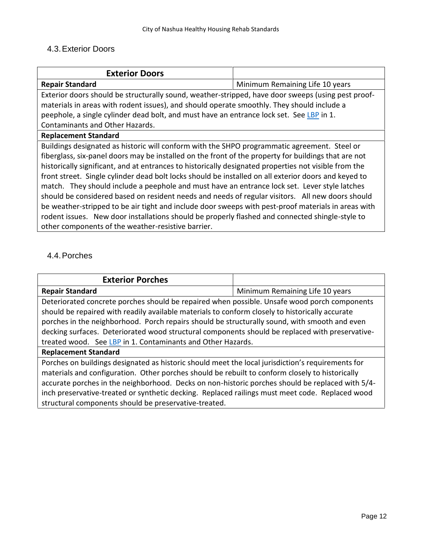# 4.3.Exterior Doors

| <b>Exterior Doors</b>                                                                                 |                                 |
|-------------------------------------------------------------------------------------------------------|---------------------------------|
| <b>Repair Standard</b>                                                                                | Minimum Remaining Life 10 years |
| Exterior doors should be structurally sound, weather-stripped, have door sweeps (using pest proof-    |                                 |
| materials in areas with rodent issues), and should operate smoothly. They should include a            |                                 |
| peephole, a single cylinder dead bolt, and must have an entrance lock set. See LBP in 1.              |                                 |
| Contaminants and Other Hazards.                                                                       |                                 |
| <b>Replacement Standard</b>                                                                           |                                 |
| Buildings designated as historic will conform with the SHPO programmatic agreement. Steel or          |                                 |
| fiberglass, six-panel doors may be installed on the front of the property for buildings that are not  |                                 |
| historically significant, and at entrances to historically designated properties not visible from the |                                 |
| front street. Single cylinder dead bolt locks should be installed on all exterior doors and keyed to  |                                 |
| match. They should include a peephole and must have an entrance lock set. Lever style latches         |                                 |
| should be considered based on resident needs and needs of regular visitors. All new doors should      |                                 |
| be weather-stripped to be air tight and include door sweeps with pest-proof materials in areas with   |                                 |
| rodent issues. New door installations should be properly flashed and connected shingle-style to       |                                 |
| other components of the weather-resistive barrier.                                                    |                                 |

# 4.4.Porches

| <b>Exterior Porches</b>                                                                           |                                 |
|---------------------------------------------------------------------------------------------------|---------------------------------|
| <b>Repair Standard</b>                                                                            | Minimum Remaining Life 10 years |
| Deteriorated concrete porches should be repaired when possible. Unsafe wood porch components      |                                 |
| should be repaired with readily available materials to conform closely to historically accurate   |                                 |
| porches in the neighborhood. Porch repairs should be structurally sound, with smooth and even     |                                 |
| decking surfaces. Deteriorated wood structural components should be replaced with preservative-   |                                 |
| treated wood. See LBP in 1. Contaminants and Other Hazards.                                       |                                 |
| <b>Replacement Standard</b>                                                                       |                                 |
| Porches on buildings designated as historic should meet the local jurisdiction's requirements for |                                 |
| materials and configuration. Other porches should be rebuilt to conform closely to historically   |                                 |

materials and configuration. Other porches should be rebuilt to conform closely to historically accurate porches in the neighborhood. Decks on non-historic porches should be replaced with 5/4 inch preservative-treated or synthetic decking. Replaced railings must meet code. Replaced wood structural components should be preservative-treated.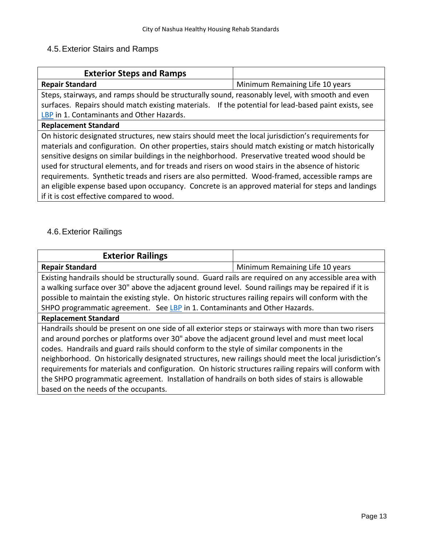# 4.5.Exterior Stairs and Ramps

| <b>Exterior Steps and Ramps</b>                                                                      |                                 |
|------------------------------------------------------------------------------------------------------|---------------------------------|
| <b>Repair Standard</b>                                                                               | Minimum Remaining Life 10 years |
| Steps, stairways, and ramps should be structurally sound, reasonably level, with smooth and even     |                                 |
| surfaces. Repairs should match existing materials. If the potential for lead-based paint exists, see |                                 |
| LBP in 1. Contaminants and Other Hazards.                                                            |                                 |
| <b>Replacement Standard</b>                                                                          |                                 |
| On historic designated structures, new stairs should meet the local jurisdiction's requirements for  |                                 |
| materials and configuration. On other properties, stairs should match existing or match historically |                                 |
| sensitive designs on similar buildings in the neighborhood. Preservative treated wood should be      |                                 |
| used for structural elements, and for treads and risers on wood stairs in the absence of historic    |                                 |
| requirements. Synthetic treads and risers are also permitted. Wood-framed, accessible ramps are      |                                 |
| an eligible expense based upon occupancy. Concrete is an approved material for steps and landings    |                                 |
| if it is cost effective compared to wood.                                                            |                                 |

# 4.6.Exterior Railings

| <b>Exterior Railings</b>                                                                                                                                                                                                                                                                                                                                                                                                                                                                                                                                                                                                                                         |                                 |
|------------------------------------------------------------------------------------------------------------------------------------------------------------------------------------------------------------------------------------------------------------------------------------------------------------------------------------------------------------------------------------------------------------------------------------------------------------------------------------------------------------------------------------------------------------------------------------------------------------------------------------------------------------------|---------------------------------|
| <b>Repair Standard</b>                                                                                                                                                                                                                                                                                                                                                                                                                                                                                                                                                                                                                                           | Minimum Remaining Life 10 years |
| Existing handrails should be structurally sound. Guard rails are required on any accessible area with<br>a walking surface over 30" above the adjacent ground level. Sound railings may be repaired if it is<br>possible to maintain the existing style. On historic structures railing repairs will conform with the<br>SHPO programmatic agreement. See LBP in 1. Contaminants and Other Hazards.                                                                                                                                                                                                                                                              |                                 |
| <b>Replacement Standard</b>                                                                                                                                                                                                                                                                                                                                                                                                                                                                                                                                                                                                                                      |                                 |
| Handrails should be present on one side of all exterior steps or stairways with more than two risers<br>and around porches or platforms over 30" above the adjacent ground level and must meet local<br>codes. Handrails and guard rails should conform to the style of similar components in the<br>neighborhood. On historically designated structures, new railings should meet the local jurisdiction's<br>requirements for materials and configuration. On historic structures railing repairs will conform with<br>the SHPO programmatic agreement. Installation of handrails on both sides of stairs is allowable<br>based on the needs of the occupants. |                                 |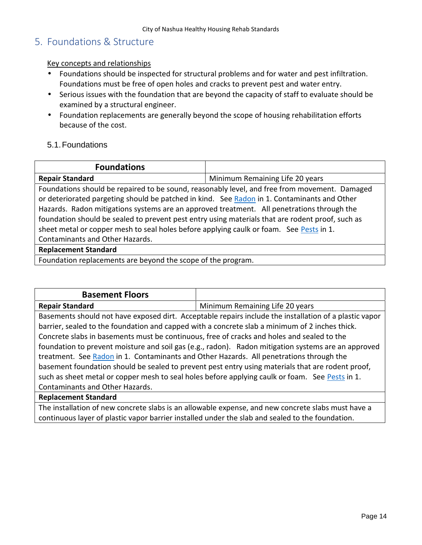# **5. Foundations & Structure**

#### Key concepts and relationships

- Foundations should be inspected for structural problems and for water and pest infiltration. Foundations must be free of open holes and cracks to prevent pest and water entry.
- $\int$  Serious issues with the foundation that are beyond the capacity of staff to evaluate should be examined by a structural engineer.
- Foundation replacements are generally beyond the scope of housing rehabilitation efforts because of the cost.
- 5.1.Foundations

| <b>Foundations</b>                                                                               |                                 |
|--------------------------------------------------------------------------------------------------|---------------------------------|
| <b>Repair Standard</b>                                                                           | Minimum Remaining Life 20 years |
| Foundations should be repaired to be sound, reasonably level, and free from movement. Damaged    |                                 |
| or deteriorated pargeting should be patched in kind. See Radon in 1. Contaminants and Other      |                                 |
| Hazards. Radon mitigations systems are an approved treatment. All penetrations through the       |                                 |
| foundation should be sealed to prevent pest entry using materials that are rodent proof, such as |                                 |
| sheet metal or copper mesh to seal holes before applying caulk or foam. See Pests in 1.          |                                 |
| Contaminants and Other Hazards.                                                                  |                                 |
| <b>Replacement Standard</b>                                                                      |                                 |
| Foundation replacements are beyond the scope of the program.                                     |                                 |

| <b>Basement Floors</b>                                                                                 |                                 |
|--------------------------------------------------------------------------------------------------------|---------------------------------|
| <b>Repair Standard</b>                                                                                 | Minimum Remaining Life 20 years |
| Basements should not have exposed dirt. Acceptable repairs include the installation of a plastic vapor |                                 |
| barrier, sealed to the foundation and capped with a concrete slab a minimum of 2 inches thick.         |                                 |
| Concrete slabs in basements must be continuous, free of cracks and holes and sealed to the             |                                 |
| foundation to prevent moisture and soil gas (e.g., radon). Radon mitigation systems are an approved    |                                 |
| treatment. See Radon in 1. Contaminants and Other Hazards. All penetrations through the                |                                 |
| basement foundation should be sealed to prevent pest entry using materials that are rodent proof,      |                                 |
| such as sheet metal or copper mesh to seal holes before applying caulk or foam. See Pests in 1.        |                                 |
| Contaminants and Other Hazards.                                                                        |                                 |

#### **Replacement Standard**

The installation of new concrete slabs is an allowable expense, and new concrete slabs must have a continuous layer of plastic vapor barrier installed under the slab and sealed to the foundation.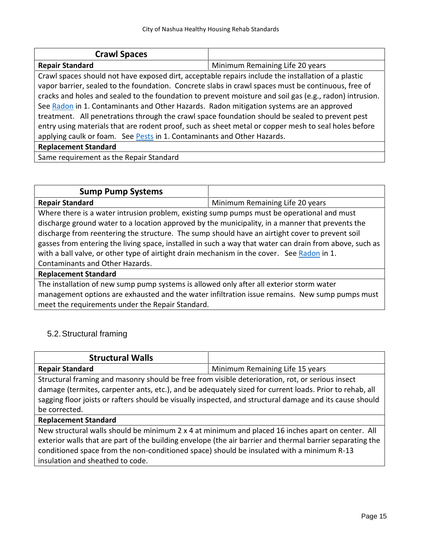| <b>Crawl Spaces</b>                                                                                  |                                                                                                         |
|------------------------------------------------------------------------------------------------------|---------------------------------------------------------------------------------------------------------|
| <b>Repair Standard</b>                                                                               | Minimum Remaining Life 20 years                                                                         |
| Crawl spaces should not have exposed dirt, acceptable repairs include the installation of a plastic  |                                                                                                         |
| vapor barrier, sealed to the foundation. Concrete slabs in crawl spaces must be continuous, free of  |                                                                                                         |
|                                                                                                      | cracks and holes and sealed to the foundation to prevent moisture and soil gas (e.g., radon) intrusion. |
| See Radon in 1. Contaminants and Other Hazards. Radon mitigation systems are an approved             |                                                                                                         |
| treatment. All penetrations through the crawl space foundation should be sealed to prevent pest      |                                                                                                         |
| entry using materials that are rodent proof, such as sheet metal or copper mesh to seal holes before |                                                                                                         |
| applying caulk or foam. See Pests in 1. Contaminants and Other Hazards.                              |                                                                                                         |
| <b>Replacement Standard</b>                                                                          |                                                                                                         |
| Same requirement as the Repair Standard                                                              |                                                                                                         |

| <b>Sump Pump Systems</b>                                                                                |                                 |
|---------------------------------------------------------------------------------------------------------|---------------------------------|
| <b>Repair Standard</b>                                                                                  | Minimum Remaining Life 20 years |
| Where there is a water intrusion problem, existing sump pumps must be operational and must              |                                 |
| discharge ground water to a location approved by the municipality, in a manner that prevents the        |                                 |
| discharge from reentering the structure. The sump should have an airtight cover to prevent soil         |                                 |
| gasses from entering the living space, installed in such a way that water can drain from above, such as |                                 |
| with a ball valve, or other type of airtight drain mechanism in the cover. See Radon in 1.              |                                 |
| Contaminants and Other Hazards.                                                                         |                                 |
| <b>Replacement Standard</b>                                                                             |                                 |

The installation of new sump pump systems is allowed only after all exterior storm water management options are exhausted and the water infiltration issue remains. New sump pumps must meet the requirements under the Repair Standard.

# 5.2.Structural framing

| <b>Structural Walls</b>                                                                                                                                                                                     |                                                                                                                                                                                                                |
|-------------------------------------------------------------------------------------------------------------------------------------------------------------------------------------------------------------|----------------------------------------------------------------------------------------------------------------------------------------------------------------------------------------------------------------|
| <b>Repair Standard</b>                                                                                                                                                                                      | Minimum Remaining Life 15 years                                                                                                                                                                                |
| Structural framing and masonry should be free from visible deterioration, rot, or serious insect<br>damage (termites, carpenter ants, etc.), and be adequately sized for current loads. Prior to rehab, all |                                                                                                                                                                                                                |
| be corrected.                                                                                                                                                                                               | sagging floor joists or rafters should be visually inspected, and structural damage and its cause should                                                                                                       |
| <b>Replacement Standard</b>                                                                                                                                                                                 |                                                                                                                                                                                                                |
| conditioned space from the non-conditioned space) should be insulated with a minimum R-13<br>insulation and sheathed to code.                                                                               | New structural walls should be minimum 2 x 4 at minimum and placed 16 inches apart on center. All<br>exterior walls that are part of the building envelope (the air barrier and thermal barrier separating the |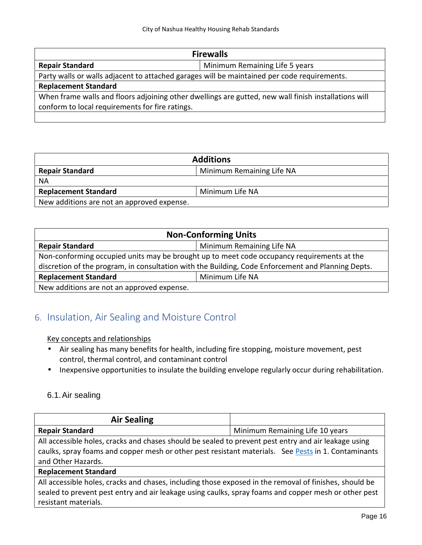| <b>Firewalls</b>                                                                                     |                                |  |
|------------------------------------------------------------------------------------------------------|--------------------------------|--|
| <b>Repair Standard</b>                                                                               | Minimum Remaining Life 5 years |  |
| Party walls or walls adjacent to attached garages will be maintained per code requirements.          |                                |  |
| <b>Replacement Standard</b>                                                                          |                                |  |
| When frame walls and floors adjoining other dwellings are gutted, new wall finish installations will |                                |  |
| conform to local requirements for fire ratings.                                                      |                                |  |
|                                                                                                      |                                |  |

| <b>Additions</b>                           |                           |  |
|--------------------------------------------|---------------------------|--|
| <b>Repair Standard</b>                     | Minimum Remaining Life NA |  |
| <b>NA</b>                                  |                           |  |
| <b>Replacement Standard</b>                | Minimum Life NA           |  |
| New additions are not an approved expense. |                           |  |

| <b>Non-Conforming Units</b>                                                                        |                           |  |
|----------------------------------------------------------------------------------------------------|---------------------------|--|
| <b>Repair Standard</b>                                                                             | Minimum Remaining Life NA |  |
| Non-conforming occupied units may be brought up to meet code occupancy requirements at the         |                           |  |
| discretion of the program, in consultation with the Building, Code Enforcement and Planning Depts. |                           |  |
| <b>Replacement Standard</b><br>Minimum Life NA                                                     |                           |  |
| New additions are not an approved expense.                                                         |                           |  |

# **6. Insulation, Air Sealing and Moisture Control**

# Key concepts and relationships

- Air sealing has many benefits for health, including fire stopping, moisture movement, pest control, thermal control, and contaminant control
- $\int$  Inexpensive opportunities to insulate the building envelope regularly occur during rehabilitation.

# 6.1.Air sealing

| <b>Air Sealing</b>                                                                                     |                                 |
|--------------------------------------------------------------------------------------------------------|---------------------------------|
| <b>Repair Standard</b>                                                                                 | Minimum Remaining Life 10 years |
| All accessible holes, cracks and chases should be sealed to prevent pest entry and air leakage using   |                                 |
| caulks, spray foams and copper mesh or other pest resistant materials. See Pests in 1. Contaminants    |                                 |
| and Other Hazards.                                                                                     |                                 |
| <b>Replacement Standard</b>                                                                            |                                 |
| All accessible holes, cracks and chases, including those exposed in the removal of finishes, should be |                                 |
| sealed to prevent pest entry and air leakage using caulks, spray foams and copper mesh or other pest   |                                 |

resistant materials.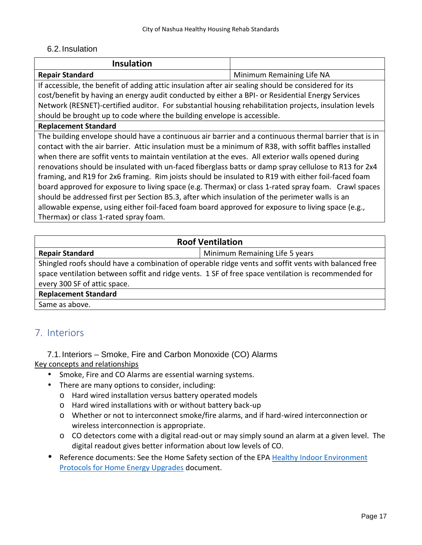# 6.2.Insulation

| <b>Insulation</b>                                                                                                                                                                                                                                                                                                                                                                                                                                                                                                                                                                                                                                                                                                                                                                                                                                                                               |                           |
|-------------------------------------------------------------------------------------------------------------------------------------------------------------------------------------------------------------------------------------------------------------------------------------------------------------------------------------------------------------------------------------------------------------------------------------------------------------------------------------------------------------------------------------------------------------------------------------------------------------------------------------------------------------------------------------------------------------------------------------------------------------------------------------------------------------------------------------------------------------------------------------------------|---------------------------|
| <b>Repair Standard</b>                                                                                                                                                                                                                                                                                                                                                                                                                                                                                                                                                                                                                                                                                                                                                                                                                                                                          | Minimum Remaining Life NA |
| If accessible, the benefit of adding attic insulation after air sealing should be considered for its                                                                                                                                                                                                                                                                                                                                                                                                                                                                                                                                                                                                                                                                                                                                                                                            |                           |
| cost/benefit by having an energy audit conducted by either a BPI- or Residential Energy Services                                                                                                                                                                                                                                                                                                                                                                                                                                                                                                                                                                                                                                                                                                                                                                                                |                           |
| Network (RESNET)-certified auditor. For substantial housing rehabilitation projects, insulation levels                                                                                                                                                                                                                                                                                                                                                                                                                                                                                                                                                                                                                                                                                                                                                                                          |                           |
| should be brought up to code where the building envelope is accessible.                                                                                                                                                                                                                                                                                                                                                                                                                                                                                                                                                                                                                                                                                                                                                                                                                         |                           |
| <b>Replacement Standard</b>                                                                                                                                                                                                                                                                                                                                                                                                                                                                                                                                                                                                                                                                                                                                                                                                                                                                     |                           |
| The building envelope should have a continuous air barrier and a continuous thermal barrier that is in<br>contact with the air barrier. Attic insulation must be a minimum of R38, with soffit baffles installed<br>when there are soffit vents to maintain ventilation at the eves. All exterior walls opened during<br>renovations should be insulated with un-faced fiberglass batts or damp spray cellulose to R13 for 2x4<br>framing, and R19 for 2x6 framing. Rim joists should be insulated to R19 with either foil-faced foam<br>board approved for exposure to living space (e.g. Thermax) or class 1-rated spray foam. Crawl spaces<br>should be addressed first per Section B5.3, after which insulation of the perimeter walls is an<br>allowable expense, using either foil-faced foam board approved for exposure to living space (e.g.,<br>Thermax) or class 1-rated spray foam. |                           |

| <b>Roof Ventilation</b>                                                                              |                                |  |
|------------------------------------------------------------------------------------------------------|--------------------------------|--|
| <b>Repair Standard</b>                                                                               | Minimum Remaining Life 5 years |  |
| Shingled roofs should have a combination of operable ridge vents and soffit vents with balanced free |                                |  |
| space ventilation between soffit and ridge vents. 1 SF of free space ventilation is recommended for  |                                |  |
| every 300 SF of attic space.                                                                         |                                |  |
| <b>Replacement Standard</b>                                                                          |                                |  |
| Same as above.                                                                                       |                                |  |

# **7. Interiors**

7.1.Interiors – Smoke, Fire and Carbon Monoxide (CO) Alarms Key concepts and relationships

- Smoke, Fire and CO Alarms are essential warning systems.
- There are many options to consider, including:
	- o Hard wired installation versus battery operated models
	- o Hard wired installations with or without battery back-up
	- o Whether or not to interconnect smoke/fire alarms, and if hard-wired interconnection or wireless interconnection is appropriate.
	- o CO detectors come with a digital read-out or may simply sound an alarm at a given level. The digital readout gives better information about low levels of CO.

Reference documents: See the Home Safety section of the EPA Healthy Indoor Environment Protocols for Home Energy Upgrades document.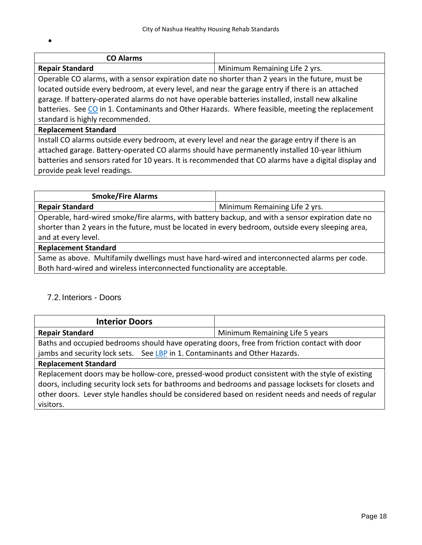| <b>CO Alarms</b>       |                               |
|------------------------|-------------------------------|
| <b>Repair Standard</b> | Minimum Remaining Life 2 yrs. |

Operable CO alarms, with a sensor expiration date no shorter than 2 years in the future, must be located outside every bedroom, at every level, and near the garage entry if there is an attached garage. If battery-operated alarms do not have operable batteries installed, install new alkaline batteries. See CO in 1. Contaminants and Other Hazards. Where feasible, meeting the replacement standard is highly recommended.

#### **Replacement Standard**

 $\int$ 

Install CO alarms outside every bedroom, at every level and near the garage entry if there is an attached garage. Battery-operated CO alarms should have permanently installed 10-year lithium batteries and sensors rated for 10 years. It is recommended that CO alarms have a digital display and provide peak level readings.

| <b>Smoke/Fire Alarms</b>                                                                           |                                                                                                   |
|----------------------------------------------------------------------------------------------------|---------------------------------------------------------------------------------------------------|
| <b>Repair Standard</b>                                                                             | Minimum Remaining Life 2 yrs.                                                                     |
|                                                                                                    | Operable, hard-wired smoke/fire alarms, with battery backup, and with a sensor expiration date no |
| shorter than 2 years in the future, must be located in every bedroom, outside every sleeping area, |                                                                                                   |
| and at every level.                                                                                |                                                                                                   |
| <b>Replacement Standard</b>                                                                        |                                                                                                   |
| Same as above. Multifamily dwellings must have hard-wired and interconnected alarms per code.      |                                                                                                   |
| Both hard-wired and wireless interconnected functionality are acceptable.                          |                                                                                                   |

# 7.2.Interiors - Doors

| <b>Interior Doors</b>                                                                                                                                                                                                                                                                                                      |                                |
|----------------------------------------------------------------------------------------------------------------------------------------------------------------------------------------------------------------------------------------------------------------------------------------------------------------------------|--------------------------------|
| <b>Repair Standard</b>                                                                                                                                                                                                                                                                                                     | Minimum Remaining Life 5 years |
| Baths and occupied bedrooms should have operating doors, free from friction contact with door                                                                                                                                                                                                                              |                                |
| jambs and security lock sets. See LBP in 1. Contaminants and Other Hazards.                                                                                                                                                                                                                                                |                                |
| <b>Replacement Standard</b>                                                                                                                                                                                                                                                                                                |                                |
| Replacement doors may be hollow-core, pressed-wood product consistent with the style of existing<br>doors, including security lock sets for bathrooms and bedrooms and passage locksets for closets and<br>other doors. Lever style handles should be considered based on resident needs and needs of regular<br>visitors. |                                |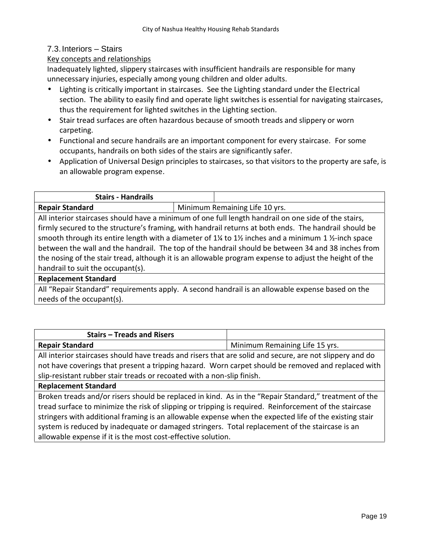# 7.3.Interiors – Stairs

### Key concepts and relationships

Inadequately lighted, slippery staircases with insufficient handrails are responsible for many unnecessary injuries, especially among young children and older adults.

- Lighting is critically important in staircases. See the Lighting standard under the Electrical section. The ability to easily find and operate light switches is essential for navigating staircases, thus the requirement for lighted switches in the Lighting section.
- Stair tread surfaces are often hazardous because of smooth treads and slippery or worn carpeting.
- Functional and secure handrails are an important component for every staircase. For some occupants, handrails on both sides of the stairs are significantly safer.
- Application of Universal Design principles to staircases, so that visitors to the property are safe, is an allowable program expense.

| <b>Stairs - Handrails</b> |                                |
|---------------------------|--------------------------------|
| <b>Repair Standard</b>    | Minimum Remaining Life 10 yrs. |

All interior staircases should have a minimum of one full length handrail on one side of the stairs, firmly secured to the structure's framing, with handrail returns at both ends. The handrail should be smooth through its entire length with a diameter of 1¼ to 1½ inches and a minimum 1 ½-inch space between the wall and the handrail. The top of the handrail should be between 34 and 38 inches from the nosing of the stair tread, although it is an allowable program expense to adjust the height of the handrail to suit the occupant(s).

#### **Replacement Standard**

All "Repair Standard" requirements apply. A second handrail is an allowable expense based on the needs of the occupant(s).

| <b>Stairs - Treads and Risers</b>                                                                                           |                                |  |
|-----------------------------------------------------------------------------------------------------------------------------|--------------------------------|--|
| <b>Repair Standard</b>                                                                                                      | Minimum Remaining Life 15 yrs. |  |
| All interior staircases should have treads and risers that are solid and secure, are not slippery and do                    |                                |  |
| والقارير الموجوليين والمساوي والمساوية والمساوي والمستحدث والمستحير والمساوية والمستحدث والمسالة ومساويته والمساوية والمستر |                                |  |

not have coverings that present a tripping hazard. Worn carpet should be removed and replaced with slip-resistant rubber stair treads or recoated with a non-slip finish.

#### **Replacement Standard**

Broken treads and/or risers should be replaced in kind. As in the "Repair Standard," treatment of the tread surface to minimize the risk of slipping or tripping is required. Reinforcement of the staircase stringers with additional framing is an allowable expense when the expected life of the existing stair system is reduced by inadequate or damaged stringers. Total replacement of the staircase is an allowable expense if it is the most cost-effective solution.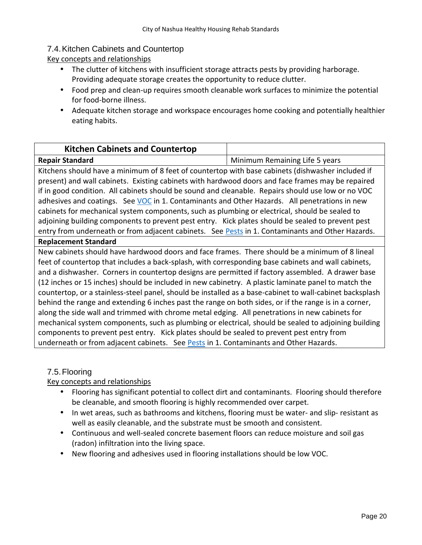# 7.4.Kitchen Cabinets and Countertop

Key concepts and relationships

- The clutter of kitchens with insufficient storage attracts pests by providing harborage. Providing adequate storage creates the opportunity to reduce clutter.
- Food prep and clean-up requires smooth cleanable work surfaces to minimize the potential for food-borne illness.
- Adequate kitchen storage and workspace encourages home cooking and potentially healthier eating habits.

| <b>Kitchen Cabinets and Countertop</b>                                                                         |                                |
|----------------------------------------------------------------------------------------------------------------|--------------------------------|
| <b>Repair Standard</b>                                                                                         | Minimum Remaining Life 5 years |
| l porti de la calca del la constanza de la Calca de Calca de la constitució de la calca de la calca de la calc |                                |

Kitchens should have a minimum of 8 feet of countertop with base cabinets (dishwasher included if present) and wall cabinets. Existing cabinets with hardwood doors and face frames may be repaired if in good condition. All cabinets should be sound and cleanable. Repairs should use low or no VOC adhesives and coatings. See VOC in 1. Contaminants and Other Hazards. All penetrations in new cabinets for mechanical system components, such as plumbing or electrical, should be sealed to adjoining building components to prevent pest entry. Kick plates should be sealed to prevent pest entry from underneath or from adjacent cabinets. See Pests in 1. Contaminants and Other Hazards.

#### **Replacement Standard**

New cabinets should have hardwood doors and face frames. There should be a minimum of 8 lineal feet of countertop that includes a back-splash, with corresponding base cabinets and wall cabinets, and a dishwasher. Corners in countertop designs are permitted if factory assembled. A drawer base (12 inches or 15 inches) should be included in new cabinetry. A plastic laminate panel to match the countertop, or a stainless-steel panel, should be installed as a base-cabinet to wall-cabinet backsplash behind the range and extending 6 inches past the range on both sides, or if the range is in a corner, along the side wall and trimmed with chrome metal edging. All penetrations in new cabinets for mechanical system components, such as plumbing or electrical, should be sealed to adjoining building components to prevent pest entry. Kick plates should be sealed to prevent pest entry from underneath or from adjacent cabinets. See Pests in 1. Contaminants and Other Hazards.

# 7.5.Flooring

- Flooring has significant potential to collect dirt and contaminants. Flooring should therefore be cleanable, and smooth flooring is highly recommended over carpet.
- In wet areas, such as bathrooms and kitchens, flooring must be water- and slip- resistant as well as easily cleanable, and the substrate must be smooth and consistent.
- Continuous and well-sealed concrete basement floors can reduce moisture and soil gas (radon) infiltration into the living space.
- New flooring and adhesives used in flooring installations should be low VOC.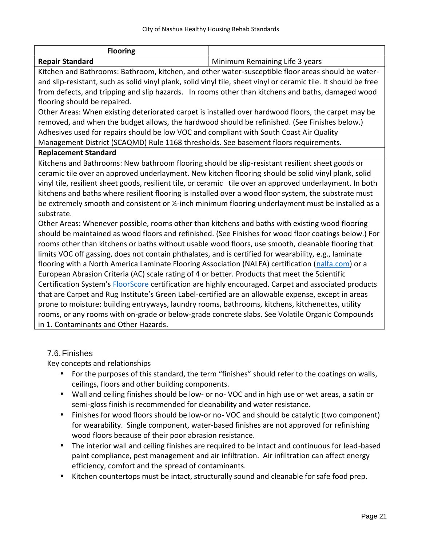| <b>Flooring</b>        |                                |
|------------------------|--------------------------------|
| <b>Repair Standard</b> | Minimum Remaining Life 3 years |

Kitchen and Bathrooms: Bathroom, kitchen, and other water-susceptible floor areas should be water and slip-resistant, such as solid vinyl plank, solid vinyl tile, sheet vinyl or ceramic tile. It should be free from defects, and tripping and slip hazards. In rooms other than kitchens and baths, damaged wood flooring should be repaired.

Other Areas: When existing deteriorated carpet is installed over hardwood floors, the carpet may be removed, and when the budget allows, the hardwood should be refinished. (See Finishes below.) Adhesives used for repairs should be low VOC and compliant with South Coast Air Quality Management District (SCAQMD) Rule 1168 thresholds. See basement floors requirements.

#### **Replacement Standard**

Kitchens and Bathrooms: New bathroom flooring should be slip-resistant resilient sheet goods or ceramic tile over an approved underlayment. New kitchen flooring should be solid vinyl plank, solid vinyl tile, resilient sheet goods, resilient tile, or ceramic tile over an approved underlayment. In both kitchens and baths where resilient flooring is installed over a wood floor system, the substrate must be extremely smooth and consistent or  $\frac{1}{4}$ -inch minimum flooring underlayment must be installed as a substrate.

Other Areas: Whenever possible, rooms other than kitchens and baths with existing wood flooring should be maintained as wood floors and refinished. (See Finishes for wood floor coatings below.) For rooms other than kitchens or baths without usable wood floors, use smooth, cleanable flooring that limits VOC off gassing, does not contain phthalates, and is certified for wearability, e.g., laminate flooring with a North America Laminate Flooring Association (NALFA) certification (nalfa.com) or a European Abrasion Criteria (AC) scale rating of 4 or better. Products that meet the Scientific Certification System's FloorScore certification are highly encouraged. Carpet and associated products that are Carpet and Rug Institute's Green Label-certified are an allowable expense, except in areas prone to moisture: building entryways, laundry rooms, bathrooms, kitchens, kitchenettes, utility rooms, or any rooms with on-grade or below-grade concrete slabs. See Volatile Organic Compounds in 1. Contaminants and Other Hazards.

# 7.6.Finishes

- $\int$  For the purposes of this standard, the term "finishes" should refer to the coatings on walls, ceilings, floors and other building components.
- Wall and ceiling finishes should be low- or no- VOC and in high use or wet areas, a satin or semi-gloss finish is recommended for cleanability and water resistance.
- Finishes for wood floors should be low-or no- VOC and should be catalytic (two component) for wearability. Single component, water-based finishes are not approved for refinishing wood floors because of their poor abrasion resistance.
- The interior wall and ceiling finishes are required to be intact and continuous for lead-based paint compliance, pest management and air infiltration. Air infiltration can affect energy efficiency, comfort and the spread of contaminants.
- Kitchen countertops must be intact, structurally sound and cleanable for safe food prep.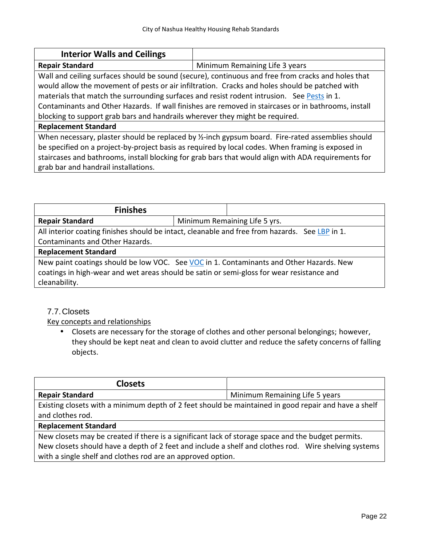| <b>Interior Walls and Ceilings</b>                                                                  |                                |
|-----------------------------------------------------------------------------------------------------|--------------------------------|
| <b>Repair Standard</b>                                                                              | Minimum Remaining Life 3 years |
| Wall and ceiling surfaces should be sound (secure), continuous and free from cracks and holes that  |                                |
| would allow the movement of pests or air infiltration. Cracks and holes should be patched with      |                                |
| materials that match the surrounding surfaces and resist rodent intrusion. See Pests in 1.          |                                |
| Contaminants and Other Hazards. If wall finishes are removed in staircases or in bathrooms, install |                                |
| blocking to support grab bars and handrails wherever they might be required.                        |                                |
| <b>Replacement Standard</b>                                                                         |                                |
| When necessary, plaster should be replaced by 1/2-inch gypsum board. Fire-rated assemblies should   |                                |
| be specified on a project-by-project basis as required by local codes. When framing is exposed in   |                                |
| staircases and bathrooms, install blocking for grab bars that would align with ADA requirements for |                                |

grab bar and handrail installations.

| <b>Finishes</b>                                                                                |                                                                                                                                                                                      |  |
|------------------------------------------------------------------------------------------------|--------------------------------------------------------------------------------------------------------------------------------------------------------------------------------------|--|
| <b>Repair Standard</b>                                                                         | Minimum Remaining Life 5 yrs.                                                                                                                                                        |  |
| All interior coating finishes should be intact, cleanable and free from hazards. See LBP in 1. |                                                                                                                                                                                      |  |
| Contaminants and Other Hazards.                                                                |                                                                                                                                                                                      |  |
| <b>Replacement Standard</b>                                                                    |                                                                                                                                                                                      |  |
| cleanability.                                                                                  | New paint coatings should be low VOC. See VOC in 1. Contaminants and Other Hazards. New<br>coatings in high-wear and wet areas should be satin or semi-gloss for wear resistance and |  |

# 7.7.Closets

Key concepts and relationships

 Closets are necessary for the storage of clothes and other personal belongings; however, they should be kept neat and clean to avoid clutter and reduce the safety concerns of falling objects.

| <b>Closets</b>              |                                                                                                      |
|-----------------------------|------------------------------------------------------------------------------------------------------|
| <b>Repair Standard</b>      | Minimum Remaining Life 5 years                                                                       |
| and clothes rod.            | Existing closets with a minimum depth of 2 feet should be maintained in good repair and have a shelf |
| <b>Replacement Standard</b> |                                                                                                      |
|                             |                                                                                                      |

New closets may be created if there is a significant lack of storage space and the budget permits. New closets should have a depth of 2 feet and include a shelf and clothes rod. Wire shelving systems with a single shelf and clothes rod are an approved option.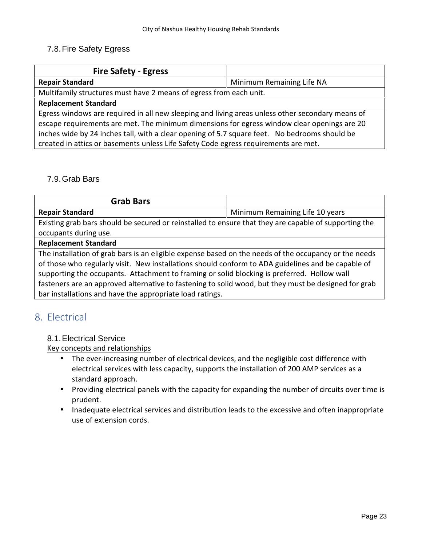# 7.8.Fire Safety Egress

| <b>Fire Safety - Egress</b>                                                                      |                           |
|--------------------------------------------------------------------------------------------------|---------------------------|
| <b>Repair Standard</b>                                                                           | Minimum Remaining Life NA |
| Multifamily structures must have 2 means of egress from each unit.                               |                           |
| <b>Replacement Standard</b>                                                                      |                           |
| Egress windows are required in all new sleeping and living areas unless other secondary means of |                           |
| escape requirements are met. The minimum dimensions for egress window clear openings are 20      |                           |
| inches wide by 24 inches tall, with a clear opening of 5.7 square feet. No bedrooms should be    |                           |
| created in attics or basements unless Life Safety Code egress requirements are met.              |                           |

# 7.9.Grab Bars

| <b>Grab Bars</b>                                                                                      |                                 |
|-------------------------------------------------------------------------------------------------------|---------------------------------|
| <b>Repair Standard</b>                                                                                | Minimum Remaining Life 10 years |
| Existing grab bars should be secured or reinstalled to ensure that they are capable of supporting the |                                 |
| occupants during use.                                                                                 |                                 |
| <b>Replacement Standard</b>                                                                           |                                 |
| The installation of grab bars is an eligible expense based on the needs of the occupancy or the needs |                                 |
| of those who regularly visit. New installations should conform to ADA guidelines and be capable of    |                                 |
| supporting the occupants. Attachment to framing or solid blocking is preferred. Hollow wall           |                                 |

fasteners are an approved alternative to fastening to solid wood, but they must be designed for grab bar installations and have the appropriate load ratings.

# **8. Electrical**

# 8.1.Electrical Service

- The ever-increasing number of electrical devices, and the negligible cost difference with electrical services with less capacity, supports the installation of 200 AMP services as a standard approach.
- Providing electrical panels with the capacity for expanding the number of circuits over time is prudent.
- Inadequate electrical services and distribution leads to the excessive and often inappropriate use of extension cords.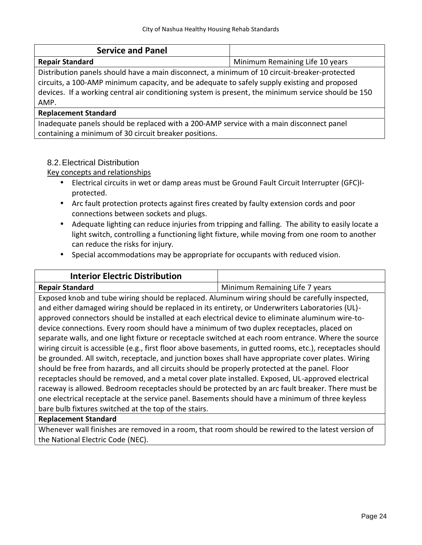| <b>Service and Panel</b>                                                                                                                                                                                                                                                                                    |                                 |
|-------------------------------------------------------------------------------------------------------------------------------------------------------------------------------------------------------------------------------------------------------------------------------------------------------------|---------------------------------|
| <b>Repair Standard</b>                                                                                                                                                                                                                                                                                      | Minimum Remaining Life 10 years |
| Distribution panels should have a main disconnect, a minimum of 10 circuit-breaker-protected<br>circuits, a 100-AMP minimum capacity, and be adequate to safely supply existing and proposed<br>devices. If a working central air conditioning system is present, the minimum service should be 150<br>AMP. |                                 |
| <b>Replacement Standard</b>                                                                                                                                                                                                                                                                                 |                                 |
| Inadequate panels should be replaced with a 200-AMP service with a main disconnect panel                                                                                                                                                                                                                    |                                 |
| containing a minimum of 30 circuit breaker positions.                                                                                                                                                                                                                                                       |                                 |

### 8.2.Electrical Distribution

Key concepts and relationships

- Electrical circuits in wet or damp areas must be Ground Fault Circuit Interrupter (GFC)I protected.
- Arc fault protection protects against fires created by faulty extension cords and poor connections between sockets and plugs.
- Adequate lighting can reduce injuries from tripping and falling. The ability to easily locate a light switch, controlling a functioning light fixture, while moving from one room to another can reduce the risks for injury.
- Special accommodations may be appropriate for occupants with reduced vision.

| <b>Interior Electric Distribution</b>                                                                       |                                |
|-------------------------------------------------------------------------------------------------------------|--------------------------------|
| <b>Repair Standard</b>                                                                                      | Minimum Remaining Life 7 years |
| Exposed knob and tube wiring should be replaced. Aluminum wiring should be carefully inspected,             |                                |
| and either damaged wiring should be replaced in its entirety, or Underwriters Laboratories (UL)-            |                                |
| approved connectors should be installed at each electrical device to eliminate aluminum wire-to-            |                                |
| device connections. Every room should have a minimum of two duplex receptacles, placed on                   |                                |
| separate walls, and one light fixture or receptacle switched at each room entrance. Where the source        |                                |
| wiring circuit is accessible (e.g., first floor above basements, in gutted rooms, etc.), receptacles should |                                |
| be grounded. All switch, receptacle, and junction boxes shall have appropriate cover plates. Wiring         |                                |
| should be free from hazards, and all circuits should be properly protected at the panel. Floor              |                                |
| receptacles should be removed, and a metal cover plate installed. Exposed, UL-approved electrical           |                                |
| raceway is allowed. Bedroom receptacles should be protected by an arc fault breaker. There must be          |                                |
| one electrical receptacle at the service panel. Basements should have a minimum of three keyless            |                                |
| bare bulb fixtures switched at the top of the stairs.                                                       |                                |
| <b>Replacement Standard</b>                                                                                 |                                |

# Whenever wall finishes are removed in a room, that room should be rewired to the latest version of the National Electric Code (NEC).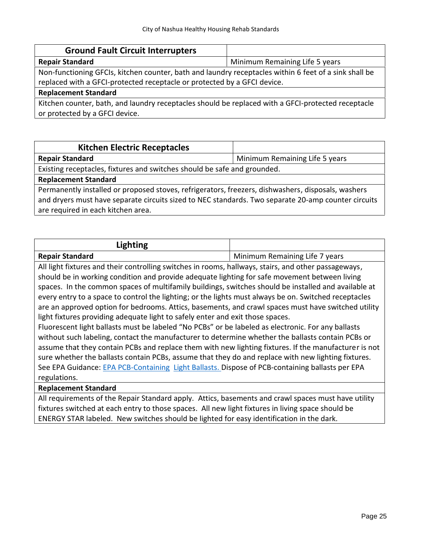| <b>Ground Fault Circuit Interrupters</b>                                                              |                                |
|-------------------------------------------------------------------------------------------------------|--------------------------------|
| <b>Repair Standard</b>                                                                                | Minimum Remaining Life 5 years |
| Non-functioning GFCIs, kitchen counter, bath and laundry receptacles within 6 feet of a sink shall be |                                |
| replaced with a GFCI-protected receptacle or protected by a GFCI device.                              |                                |
| <b>Replacement Standard</b>                                                                           |                                |
| Kitchen counter, bath, and laundry receptacles should be replaced with a GFCI-protected receptacle    |                                |
| or protected by a GFCI device.                                                                        |                                |

| <b>Kitchen Electric Receptacles</b>                                                                 |                                |
|-----------------------------------------------------------------------------------------------------|--------------------------------|
| <b>Repair Standard</b>                                                                              | Minimum Remaining Life 5 years |
| Existing receptacles, fixtures and switches should be safe and grounded.                            |                                |
| <b>Replacement Standard</b>                                                                         |                                |
| Permanently installed or proposed stoves, refrigerators, freezers, dishwashers, disposals, washers  |                                |
| and dryers must have separate circuits sized to NEC standards. Two separate 20-amp counter circuits |                                |
| are required in each kitchen area.                                                                  |                                |

| Lighting                                                                                              |                                |  |
|-------------------------------------------------------------------------------------------------------|--------------------------------|--|
| <b>Repair Standard</b>                                                                                | Minimum Remaining Life 7 years |  |
| All light fixtures and their controlling switches in rooms, hallways, stairs, and other passageways,  |                                |  |
| should be in working condition and provide adequate lighting for safe movement between living         |                                |  |
| spaces. In the common spaces of multifamily buildings, switches should be installed and available at  |                                |  |
| every entry to a space to control the lighting; or the lights must always be on. Switched receptacles |                                |  |
| are an approved option for bedrooms. Attics, basements, and crawl spaces must have switched utility   |                                |  |
| light fixtures providing adequate light to safely enter and exit those spaces.                        |                                |  |
| Fluorescent light ballasts must be labeled "No PCBs" or be labeled as electronic. For any ballasts    |                                |  |
| without such labeling, contact the manufacturer to determine whether the ballasts contain PCBs or     |                                |  |
| assume that they contain PCBs and replace them with new lighting fixtures. If the manufacturer is not |                                |  |
| sure whether the ballasts contain PCBs, assume that they do and replace with new lighting fixtures.   |                                |  |
| See EPA Guidance: EPA PCB-Containing Light Ballasts. Dispose of PCB-containing ballasts per EPA       |                                |  |
| regulations.                                                                                          |                                |  |
| <b>Replacement Standard</b>                                                                           |                                |  |

All requirements of the Repair Standard apply. Attics, basements and crawl spaces must have utility fixtures switched at each entry to those spaces. All new light fixtures in living space should be ENERGY STAR labeled. New switches should be lighted for easy identification in the dark.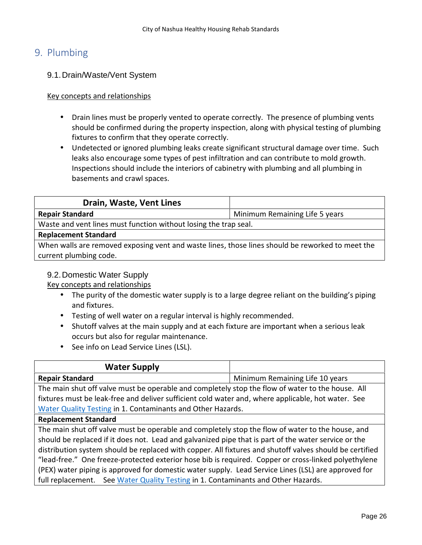# **9. Plumbing**

# 9.1.Drain/Waste/Vent System

### Key concepts and relationships

 Drain lines must be properly vented to operate correctly. The presence of plumbing vents should be confirmed during the property inspection, along with physical testing of plumbing fixtures to confirm that they operate correctly.

 Undetected or ignored plumbing leaks create significant structural damage over time. Such leaks also encourage some types of pest infiltration and can contribute to mold growth. Inspections should include the interiors of cabinetry with plumbing and all plumbing in basements and crawl spaces.

| Drain, Waste, Vent Lines                                                                                                   |                                |
|----------------------------------------------------------------------------------------------------------------------------|--------------------------------|
| <b>Repair Standard</b>                                                                                                     | Minimum Remaining Life 5 years |
| Waste and vent lines must function without losing the trap seal.                                                           |                                |
| <b>Replacement Standard</b>                                                                                                |                                |
| When walls are removed exposing vent and waste lines, those lines should be reworked to meet the<br>current plumbing code. |                                |

# 9.2.Domestic Water Supply

- The purity of the domestic water supply is to a large degree reliant on the building's piping and fixtures.
- Testing of well water on a regular interval is highly recommended.
- Shutoff valves at the main supply and at each fixture are important when a serious leak occurs but also for regular maintenance.
- See info on Lead Service Lines (LSL).

| <b>Water Supply</b>                                                                                     |                                 |
|---------------------------------------------------------------------------------------------------------|---------------------------------|
| <b>Repair Standard</b>                                                                                  | Minimum Remaining Life 10 years |
| The main shut off valve must be operable and completely stop the flow of water to the house. All        |                                 |
| fixtures must be leak-free and deliver sufficient cold water and, where applicable, hot water. See      |                                 |
| Water Quality Testing in 1. Contaminants and Other Hazards.                                             |                                 |
| <b>Replacement Standard</b>                                                                             |                                 |
| The main shut off valve must be operable and completely stop the flow of water to the house, and        |                                 |
| should be replaced if it does not. Lead and galvanized pipe that is part of the water service or the    |                                 |
| distribution system should be replaced with copper. All fixtures and shutoff valves should be certified |                                 |
| "lead-free." One freeze-protected exterior hose bib is required. Copper or cross-linked polyethylene    |                                 |
| (PEX) water piping is approved for domestic water supply. Lead Service Lines (LSL) are approved for     |                                 |
| full replacement. See Water Quality Testing in 1. Contaminants and Other Hazards.                       |                                 |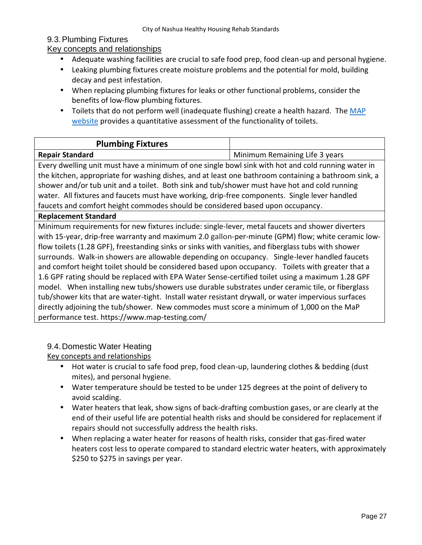# 9.3.Plumbing Fixtures

# Key concepts and relationships

- Adequate washing facilities are crucial to safe food prep, food clean-up and personal hygiene.
- Leaking plumbing fixtures create moisture problems and the potential for mold, building decay and pest infestation.
- When replacing plumbing fixtures for leaks or other functional problems, consider the benefits of low-flow plumbing fixtures.
- Toilets that do not perform well (inadequate flushing) create a health hazard. The MAP website provides a quantitative assessment of the functionality of toilets.

| <b>Plumbing Fixtures</b> |                                |
|--------------------------|--------------------------------|
| <b>Repair Standard</b>   | Minimum Remaining Life 3 years |

Every dwelling unit must have a minimum of one single bowl sink with hot and cold running water in the kitchen, appropriate for washing dishes, and at least one bathroom containing a bathroom sink, a shower and/or tub unit and a toilet. Both sink and tub/shower must have hot and cold running water. All fixtures and faucets must have working, drip-free components. Single lever handled faucets and comfort height commodes should be considered based upon occupancy.

#### **Replacement Standard**

Minimum requirements for new fixtures include: single-lever, metal faucets and shower diverters with 15-year, drip-free warranty and maximum 2.0 gallon-per-minute (GPM) flow; white ceramic lowflow toilets (1.28 GPF), freestanding sinks or sinks with vanities, and fiberglass tubs with shower surrounds. Walk-in showers are allowable depending on occupancy. Single-lever handled faucets and comfort height toilet should be considered based upon occupancy. Toilets with greater that a 1.6 GPF rating should be replaced with EPA Water Sense-certified toilet using a maximum 1.28 GPF model. When installing new tubs/showers use durable substrates under ceramic tile, or fiberglass tub/shower kits that are water-tight. Install water resistant drywall, or water impervious surfaces directly adjoining the tub/shower. New commodes must score a minimum of 1,000 on the MaP performance test. https://www.map-testing.com/

# 9.4.Domestic Water Heating

- Hot water is crucial to safe food prep, food clean-up, laundering clothes & bedding (dust mites), and personal hygiene.
- Water temperature should be tested to be under 125 degrees at the point of delivery to avoid scalding.
- Water heaters that leak, show signs of back-drafting combustion gases, or are clearly at the end of their useful life are potential health risks and should be considered for replacement if repairs should not successfully address the health risks.
- When replacing a water heater for reasons of health risks, consider that gas-fired water heaters cost less to operate compared to standard electric water heaters, with approximately \$250 to \$275 in savings per year.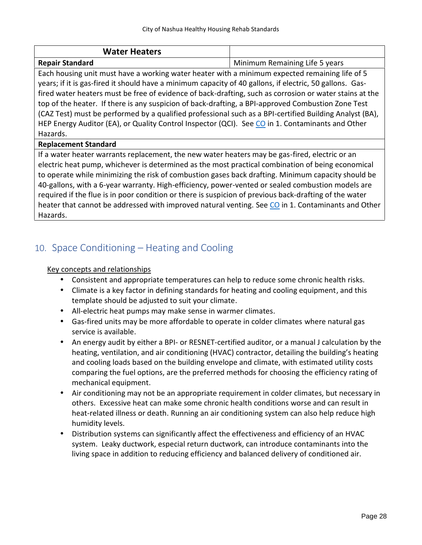| <b>Water Heaters</b> |                                |
|----------------------|--------------------------------|
| Ranair Standard      | Minimum Remaining Life 5 years |

**Repair Standard** Minimum Remaining Life 5 years Each housing unit must have a working water heater with a minimum expected remaining life of 5 years; if it is gas-fired it should have a minimum capacity of 40 gallons, if electric, 50 gallons. Gasfired water heaters must be free of evidence of back-drafting, such as corrosion or water stains at the top of the heater. If there is any suspicion of back-drafting, a BPI-approved Combustion Zone Test (CAZ Test) must be performed by a qualified professional such as a BPI-certified Building Analyst (BA), HEP Energy Auditor (EA), or Quality Control Inspector (QCI). See CO in 1. Contaminants and Other Hazards.

#### **Replacement Standard**

If a water heater warrants replacement, the new water heaters may be gas-fired, electric or an electric heat pump, whichever is determined as the most practical combination of being economical to operate while minimizing the risk of combustion gases back drafting. Minimum capacity should be 40-gallons, with a 6-year warranty. High-efficiency, power-vented or sealed combustion models are required if the flue is in poor condition or there is suspicion of previous back-drafting of the water heater that cannot be addressed with improved natural venting. See CO in 1. Contaminants and Other Hazards.

# **10. Space Conditioning – Heating and Cooling**

- Consistent and appropriate temperatures can help to reduce some chronic health risks.
- Climate is a key factor in defining standards for heating and cooling equipment, and this template should be adjusted to suit your climate.
- All-electric heat pumps may make sense in warmer climates.
- Gas-fired units may be more affordable to operate in colder climates where natural gas service is available.
- An energy audit by either a BPI- or RESNET-certified auditor, or a manual J calculation by the heating, ventilation, and air conditioning (HVAC) contractor, detailing the building's heating and cooling loads based on the building envelope and climate, with estimated utility costs comparing the fuel options, are the preferred methods for choosing the efficiency rating of mechanical equipment.
- Air conditioning may not be an appropriate requirement in colder climates, but necessary in others. Excessive heat can make some chronic health conditions worse and can result in heat-related illness or death. Running an air conditioning system can also help reduce high humidity levels.
- Distribution systems can significantly affect the effectiveness and efficiency of an HVAC system. Leaky ductwork, especial return ductwork, can introduce contaminants into the living space in addition to reducing efficiency and balanced delivery of conditioned air.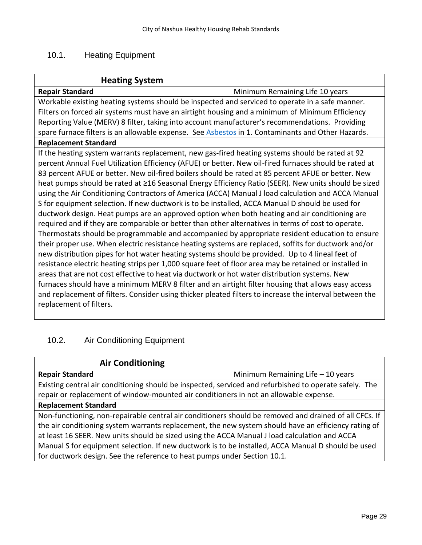# 10.1. Heating Equipment

| <b>Heating System</b>                                                                                                              |                                 |
|------------------------------------------------------------------------------------------------------------------------------------|---------------------------------|
| <b>Repair Standard</b>                                                                                                             | Minimum Remaining Life 10 years |
| Workable existing heating systems should be inspected and serviced to operate in a safe manner.                                    |                                 |
| Filters on forced air systems must have an airtight housing and a minimum of Minimum Efficiency                                    |                                 |
| Reporting Value (MERV) 8 filter, taking into account manufacturer's recommendations. Providing                                     |                                 |
| spare furnace filters is an allowable expense. See Asbestos in 1. Contaminants and Other Hazards.                                  |                                 |
| <b>Replacement Standard</b>                                                                                                        |                                 |
| If the heating system warrants replacement, new gas-fired heating systems should be rated at 92                                    |                                 |
| percent Annual Fuel Utilization Efficiency (AFUE) or better. New oil-fired furnaces should be rated at                             |                                 |
| 83 percent AFUE or better. New oil-fired boilers should be rated at 85 percent AFUE or better. New                                 |                                 |
| heat pumps should be rated at ≥16 Seasonal Energy Efficiency Ratio (SEER). New units should be sized                               |                                 |
| using the Air Conditioning Contractors of America (ACCA) Manual J load calculation and ACCA Manual                                 |                                 |
| S for equipment selection. If new ductwork is to be installed, ACCA Manual D should be used for                                    |                                 |
| ductwork design. Heat pumps are an approved option when both heating and air conditioning are                                      |                                 |
| required and if they are comparable or better than other alternatives in terms of cost to operate.                                 |                                 |
| Thermostats should be programmable and accompanied by appropriate resident education to ensure                                     |                                 |
| their proper use. When electric resistance heating systems are replaced, soffits for ductwork and/or                               |                                 |
| new distribution pipes for hot water heating systems should be provided. Up to 4 lineal feet of                                    |                                 |
| resistance electric heating strips per 1,000 square feet of floor area may be retained or installed in                             |                                 |
| areas that are not cost effective to heat via ductwork or hot water distribution systems. New                                      |                                 |
| furnaces should have a minimum MERV 8 filter and an airtight filter housing that allows easy access                                |                                 |
| and replacement of filters. Consider using thicker pleated filters to increase the interval between the<br>replacement of filters. |                                 |
|                                                                                                                                    |                                 |

# 10.2. Air Conditioning Equipment

| <b>Air Conditioning</b>                                                                                |                                    |
|--------------------------------------------------------------------------------------------------------|------------------------------------|
| <b>Repair Standard</b>                                                                                 | Minimum Remaining Life $-10$ years |
| Existing central air conditioning should be inspected, serviced and refurbished to operate safely. The |                                    |
| repair or replacement of window-mounted air conditioners in not an allowable expense.                  |                                    |
| <b>Replacement Standard</b>                                                                            |                                    |
| Non-functioning, non-repairable central air conditioners should be removed and drained of all CFCs. If |                                    |
| the air conditioning system warrants replacement, the new system should have an efficiency rating of   |                                    |
| at least 16 SEER. New units should be sized using the ACCA Manual J load calculation and ACCA          |                                    |
| Manual S for equipment selection. If new ductwork is to be installed, ACCA Manual D should be used     |                                    |
| for ductwork design. See the reference to heat pumps under Section 10.1.                               |                                    |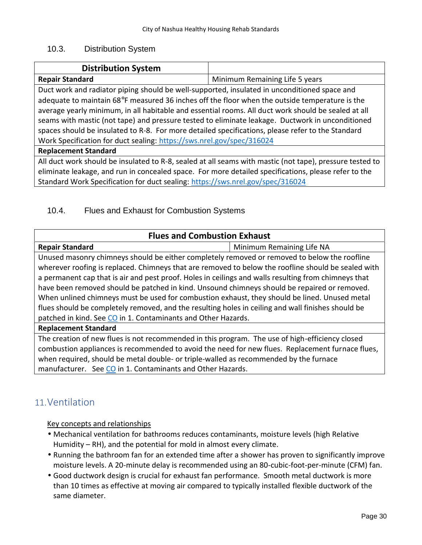# 10.3. Distribution System

| <b>Distribution System</b>                                                                           |                                                                                                          |
|------------------------------------------------------------------------------------------------------|----------------------------------------------------------------------------------------------------------|
| <b>Repair Standard</b>                                                                               | Minimum Remaining Life 5 years                                                                           |
| Duct work and radiator piping should be well-supported, insulated in unconditioned space and         |                                                                                                          |
| adequate to maintain 68 $F$ measured 36 inches off the floor when the outside temperature is the     |                                                                                                          |
| average yearly minimum, in all habitable and essential rooms. All duct work should be sealed at all  |                                                                                                          |
| seams with mastic (not tape) and pressure tested to eliminate leakage. Ductwork in unconditioned     |                                                                                                          |
| spaces should be insulated to R-8. For more detailed specifications, please refer to the Standard    |                                                                                                          |
| Work Specification for duct sealing: https://sws.nrel.gov/spec/316024                                |                                                                                                          |
| <b>Replacement Standard</b>                                                                          |                                                                                                          |
|                                                                                                      | All duct work should be insulated to R-8, sealed at all seams with mastic (not tape), pressure tested to |
| eliminate leakage, and run in concealed space. For more detailed specifications, please refer to the |                                                                                                          |

Standard Work Specification for duct sealing: https://sws.nrel.gov/spec/316024

# 10.4. Flues and Exhaust for Combustion Systems

| <b>Flues and Combustion Exhaust</b>                                                                  |                           |  |  |  |
|------------------------------------------------------------------------------------------------------|---------------------------|--|--|--|
| <b>Repair Standard</b>                                                                               | Minimum Remaining Life NA |  |  |  |
| Unused masonry chimneys should be either completely removed or removed to below the roofline         |                           |  |  |  |
| wherever roofing is replaced. Chimneys that are removed to below the roofline should be sealed with  |                           |  |  |  |
| a permanent cap that is air and pest proof. Holes in ceilings and walls resulting from chimneys that |                           |  |  |  |
| have been removed should be patched in kind. Unsound chimneys should be repaired or removed.         |                           |  |  |  |
| When unlined chimneys must be used for combustion exhaust, they should be lined. Unused metal        |                           |  |  |  |
| flues should be completely removed, and the resulting holes in ceiling and wall finishes should be   |                           |  |  |  |
| patched in kind. See CO in 1. Contaminants and Other Hazards.                                        |                           |  |  |  |
| <b>Replacement Standard</b>                                                                          |                           |  |  |  |
| The creation of new flues is not recommended in this program. The use of high-efficiency closed      |                           |  |  |  |
| combustion appliances is recommended to avoid the need for new flues. Replacement furnace flues,     |                           |  |  |  |
| when required, should be metal double- or triple-walled as recommended by the furnace                |                           |  |  |  |
| manufacturer. See CO in 1. Contaminants and Other Hazards.                                           |                           |  |  |  |

# **11.Ventilation**

- Mechanical ventilation for bathrooms reduces contaminants, moisture levels (high Relative Humidity – RH), and the potential for mold in almost every climate.
- Running the bathroom fan for an extended time after a shower has proven to significantly improve moisture levels. A 20-minute delay is recommended using an 80-cubic-foot-per-minute (CFM) fan.
- Good ductwork design is crucial for exhaust fan performance. Smooth metal ductwork is more than 10 times as effective at moving air compared to typically installed flexible ductwork of the same diameter.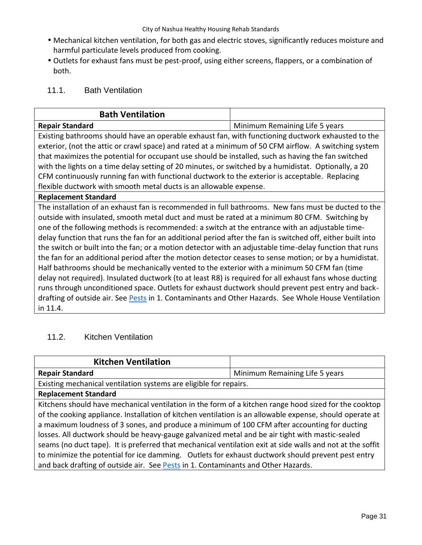- Mechanical kitchen ventilation, for both gas and electric stoves, significantly reduces moisture and harmful particulate levels produced from cooking.
- Outlets for exhaust fans must be pest-proof, using either screens, flappers, or a combination of both.

# 11.1. Bath Ventilation

|                                                                                                                                                                                                        | <b>Bath Ventilation</b>                                                                                 |                                                                    |
|--------------------------------------------------------------------------------------------------------------------------------------------------------------------------------------------------------|---------------------------------------------------------------------------------------------------------|--------------------------------------------------------------------|
|                                                                                                                                                                                                        | <b>Repair Standard</b>                                                                                  | Minimum Remaining Life 5 years                                     |
|                                                                                                                                                                                                        | Existing bathrooms should have an operable exhaust fan, with functioning ductwork exhausted to the      |                                                                    |
| exterior, (not the attic or crawl space) and rated at a minimum of 50 CFM airflow. A switching system                                                                                                  |                                                                                                         |                                                                    |
| that maximizes the potential for occupant use should be installed, such as having the fan switched                                                                                                     |                                                                                                         |                                                                    |
| with the lights on a time delay setting of 20 minutes, or switched by a humidistat. Optionally, a 20<br>CFM continuously running fan with functional ductwork to the exterior is acceptable. Replacing |                                                                                                         |                                                                    |
|                                                                                                                                                                                                        |                                                                                                         | flexible ductwork with smooth metal ducts is an allowable expense. |
|                                                                                                                                                                                                        | <b>Replacement Standard</b>                                                                             |                                                                    |
|                                                                                                                                                                                                        | The installation of an exhaust fan is recommended in full bathrooms. New fans must be ducted to the     |                                                                    |
|                                                                                                                                                                                                        | outside with insulated, smooth metal duct and must be rated at a minimum 80 CFM. Switching by           |                                                                    |
| one of the following methods is recommended: a switch at the entrance with an adjustable time-                                                                                                         |                                                                                                         |                                                                    |
| delay function that runs the fan for an additional period after the fan is switched off, either built into                                                                                             |                                                                                                         |                                                                    |
|                                                                                                                                                                                                        | the switch or built into the fan; or a motion detector with an adjustable time-delay function that runs |                                                                    |
|                                                                                                                                                                                                        | the fan for an additional period after the motion detector ceases to sense motion; or by a humidistat.  |                                                                    |
|                                                                                                                                                                                                        | Half bathrooms should be mechanically vented to the exterior with a minimum 50 CEM fan (time            |                                                                    |

Half bathrooms should be mechanically vented to the exterior with a minimum 50 CFM fan (time delay not required). Insulated ductwork (to at least R8) is required for all exhaust fans whose ducting runs through unconditioned space. Outlets for exhaust ductwork should prevent pest entry and back drafting of outside air. See Pests in 1. Contaminants and Other Hazards. See Whole House Ventilation in 11.4.

# 11.2. Kitchen Ventilation

| <b>Kitchen Ventilation</b>                                                                                 |                                |  |
|------------------------------------------------------------------------------------------------------------|--------------------------------|--|
| <b>Repair Standard</b>                                                                                     | Minimum Remaining Life 5 years |  |
| Existing mechanical ventilation systems are eligible for repairs.                                          |                                |  |
| <b>Replacement Standard</b>                                                                                |                                |  |
| Kitchens should have mechanical ventilation in the form of a kitchen range hood sized for the cooktop      |                                |  |
| of the cooking appliance. Installation of kitchen ventilation is an allowable expense, should operate at   |                                |  |
| a maximum loudness of 3 sones, and produce a minimum of 100 CFM after accounting for ducting               |                                |  |
| losses. All ductwork should be heavy-gauge galvanized metal and be air tight with mastic-sealed            |                                |  |
| seams (no duct tape). It is preferred that mechanical ventilation exit at side walls and not at the soffit |                                |  |
| to minimize the potential for ice damming. Outlets for exhaust ductwork should prevent pest entry          |                                |  |
| and back drafting of outside air. See Pests in 1. Contaminants and Other Hazards.                          |                                |  |